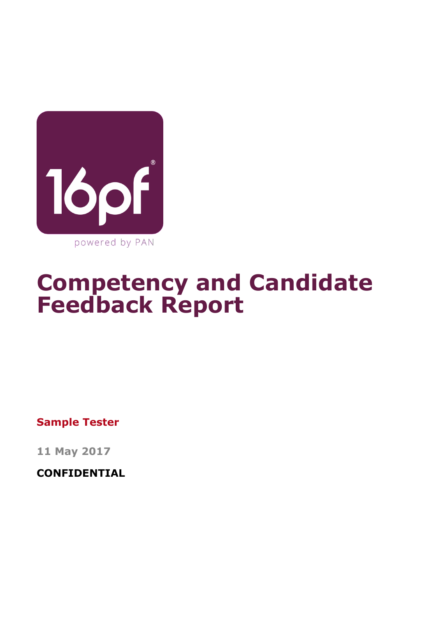

# **Competency and Candidate Feedback Report**

**Sample Tester**

**11 May 2017**

**CONFIDENTIAL**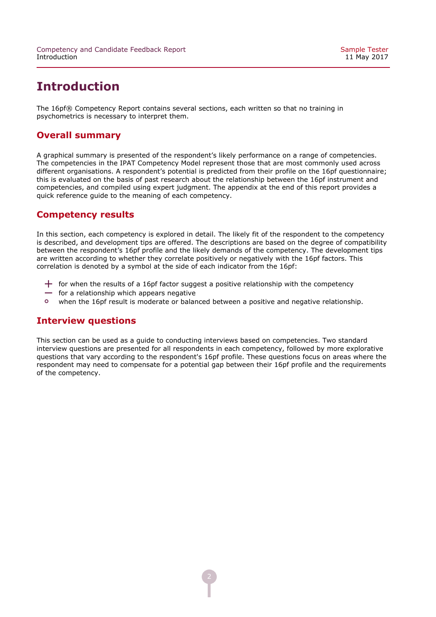## **Introduction**

The 16pf® Competency Report contains several sections, each written so that no training in psychometrics is necessary to interpret them.

#### **Overall summary**

A graphical summary is presented of the respondent's likely performance on a range of competencies. The competencies in the IPAT Competency Model represent those that are most commonly used across different organisations. A respondent's potential is predicted from their profile on the 16pf questionnaire; this is evaluated on the basis of past research about the relationship between the 16pf instrument and competencies, and compiled using expert judgment. The appendix at the end of this report provides a quick reference guide to the meaning of each competency.

#### **Competency results**

In this section, each competency is explored in detail. The likely fit of the respondent to the competency is described, and development tips are offered. The descriptions are based on the degree of compatibility between the respondent's 16pf profile and the likely demands of the competency. The development tips are written according to whether they correlate positively or negatively with the 16pf factors. This correlation is denoted by a symbol at the side of each indicator from the 16pf:

- $+$  for when the results of a 16pf factor suggest a positive relationship with the competency
- − for a relationship which appears negative
- ° when the 16pf result is moderate or balanced between a positive and negative relationship.

#### **Interview questions**

This section can be used as a guide to conducting interviews based on competencies. Two standard interview questions are presented for all respondents in each competency, followed by more explorative questions that vary according to the respondent's 16pf profile. These questions focus on areas where the respondent may need to compensate for a potential gap between their 16pf profile and the requirements of the competency.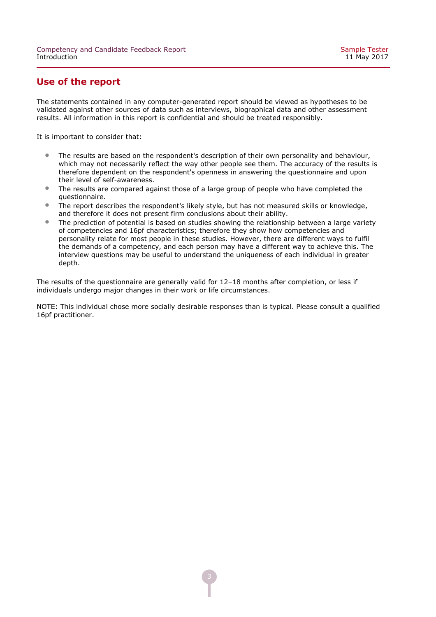#### **Use of the report**

The statements contained in any computer-generated report should be viewed as hypotheses to be validated against other sources of data such as interviews, biographical data and other assessment results. All information in this report is confidential and should be treated responsibly.

It is important to consider that:

- The results are based on the respondent's description of their own personality and behaviour, which may not necessarily reflect the way other people see them. The accuracy of the results is therefore dependent on the respondent's openness in answering the questionnaire and upon their level of self-awareness.
- The results are compared against those of a large group of people who have completed the questionnaire.
- The report describes the respondent's likely style, but has not measured skills or knowledge, and therefore it does not present firm conclusions about their ability.
- The prediction of potential is based on studies showing the relationship between a large variety of competencies and 16pf characteristics; therefore they show how competencies and personality relate for most people in these studies. However, there are different ways to fulfil the demands of a competency, and each person may have a different way to achieve this. The interview questions may be useful to understand the uniqueness of each individual in greater depth.

The results of the questionnaire are generally valid for 12–18 months after completion, or less if individuals undergo major changes in their work or life circumstances.

NOTE: This individual chose more socially desirable responses than is typical. Please consult a qualified 16pf practitioner.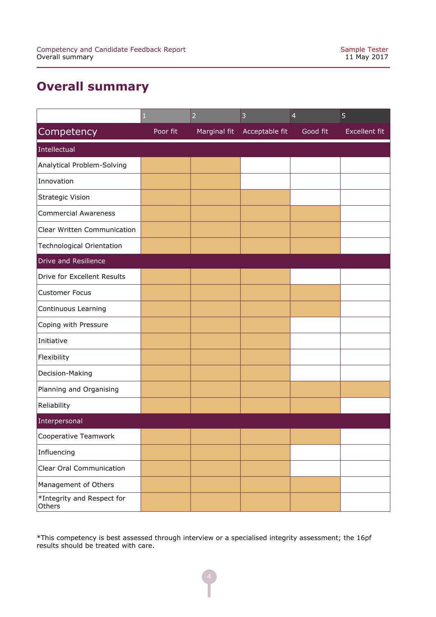## **Overall summary**

|                                      |          | $\overline{a}$ | 3              | $\overline{4}$ | 5                    |
|--------------------------------------|----------|----------------|----------------|----------------|----------------------|
| Competency                           | Poor fit | Marginal fit   | Acceptable fit | Good fit       | <b>Excellent fit</b> |
| Intellectual                         |          |                |                |                |                      |
| Analytical Problem-Solving           |          |                |                |                |                      |
| Innovation                           |          |                |                |                |                      |
| <b>Strategic Vision</b>              |          |                |                |                |                      |
| <b>Commercial Awareness</b>          |          |                |                |                |                      |
| Clear Written Communication          |          |                |                |                |                      |
| Technological Orientation            |          |                |                |                |                      |
| <b>Drive and Resilience</b>          |          |                |                |                |                      |
| Drive for Excellent Results          |          |                |                |                |                      |
| <b>Customer Focus</b>                |          |                |                |                |                      |
| Continuous Learning                  |          |                |                |                |                      |
| Coping with Pressure                 |          |                |                |                |                      |
| Initiative                           |          |                |                |                |                      |
| Flexibility                          |          |                |                |                |                      |
| Decision-Making                      |          |                |                |                |                      |
| Planning and Organising              |          |                |                |                |                      |
| Reliability                          |          |                |                |                |                      |
| Interpersonal                        |          |                |                |                |                      |
| Cooperative Teamwork                 |          |                |                |                |                      |
| Influencing                          |          |                |                |                |                      |
| <b>Clear Oral Communication</b>      |          |                |                |                |                      |
| Management of Others                 |          |                |                |                |                      |
| *Integrity and Respect for<br>Others |          |                |                |                |                      |

\*This competency is best assessed through interview or a specialised integrity assessment; the 16pf results should be treated with care.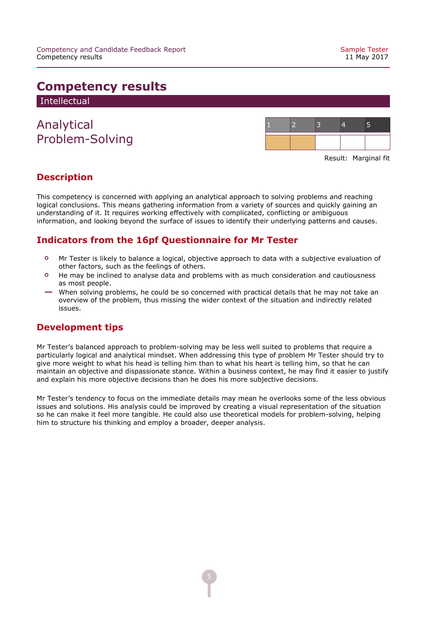Intellectual

Analytical Problem-Solving



Result: Marginal fit

#### **Description**

This competency is concerned with applying an analytical approach to solving problems and reaching logical conclusions. This means gathering information from a variety of sources and quickly gaining an understanding of it. It requires working effectively with complicated, conflicting or ambiguous information, and looking beyond the surface of issues to identify their underlying patterns and causes.

#### **Indicators from the 16pf Questionnaire for Mr Tester**

- $\circ$ Mr Tester is likely to balance a logical, objective approach to data with a subjective evaluation of other factors, such as the feelings of others.
- $\circ$ He may be inclined to analyse data and problems with as much consideration and cautiousness as most people.
- When solving problems, he could be so concerned with practical details that he may not take an overview of the problem, thus missing the wider context of the situation and indirectly related issues.

#### **Development tips**

Mr Tester's balanced approach to problem-solving may be less well suited to problems that require a particularly logical and analytical mindset. When addressing this type of problem Mr Tester should try to give more weight to what his head is telling him than to what his heart is telling him, so that he can maintain an objective and dispassionate stance. Within a business context, he may find it easier to justify and explain his more objective decisions than he does his more subjective decisions.

Mr Tester's tendency to focus on the immediate details may mean he overlooks some of the less obvious issues and solutions. His analysis could be improved by creating a visual representation of the situation so he can make it feel more tangible. He could also use theoretical models for problem-solving, helping him to structure his thinking and employ a broader, deeper analysis.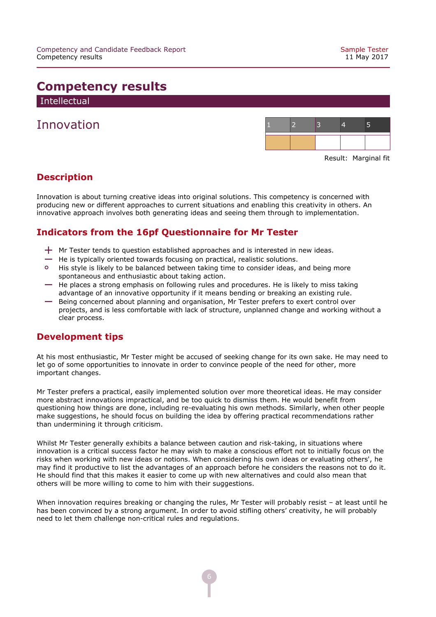Intellectual



Result: Marginal fit

#### **Description**

Innovation is about turning creative ideas into original solutions. This competency is concerned with producing new or different approaches to current situations and enabling this creativity in others. An innovative approach involves both generating ideas and seeing them through to implementation.

#### **Indicators from the 16pf Questionnaire for Mr Tester**

- + Mr Tester tends to question established approaches and is interested in new ideas.
- − He is typically oriented towards focusing on practical, realistic solutions.
- ° His style is likely to be balanced between taking time to consider ideas, and being more spontaneous and enthusiastic about taking action.
- − He places a strong emphasis on following rules and procedures. He is likely to miss taking advantage of an innovative opportunity if it means bending or breaking an existing rule.
- − Being concerned about planning and organisation, Mr Tester prefers to exert control over projects, and is less comfortable with lack of structure, unplanned change and working without a clear process.

#### **Development tips**

At his most enthusiastic, Mr Tester might be accused of seeking change for its own sake. He may need to let go of some opportunities to innovate in order to convince people of the need for other, more important changes.

Mr Tester prefers a practical, easily implemented solution over more theoretical ideas. He may consider more abstract innovations impractical, and be too quick to dismiss them. He would benefit from questioning how things are done, including re-evaluating his own methods. Similarly, when other people make suggestions, he should focus on building the idea by offering practical recommendations rather than undermining it through criticism.

Whilst Mr Tester generally exhibits a balance between caution and risk-taking, in situations where innovation is a critical success factor he may wish to make a conscious effort not to initially focus on the risks when working with new ideas or notions. When considering his own ideas or evaluating others', he may find it productive to list the advantages of an approach before he considers the reasons not to do it. He should find that this makes it easier to come up with new alternatives and could also mean that others will be more willing to come to him with their suggestions.

When innovation requires breaking or changing the rules, Mr Tester will probably resist - at least until he has been convinced by a strong argument. In order to avoid stifling others' creativity, he will probably need to let them challenge non-critical rules and regulations.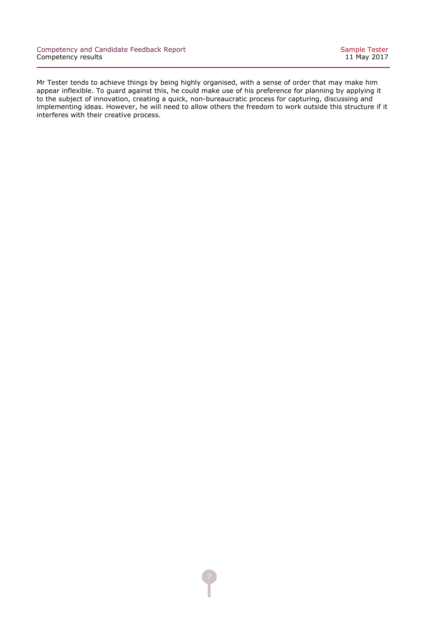Mr Tester tends to achieve things by being highly organised, with a sense of order that may make him appear inflexible. To guard against this, he could make use of his preference for planning by applying it to the subject of innovation, creating a quick, non-bureaucratic process for capturing, discussing and implementing ideas. However, he will need to allow others the freedom to work outside this structure if it interferes with their creative process.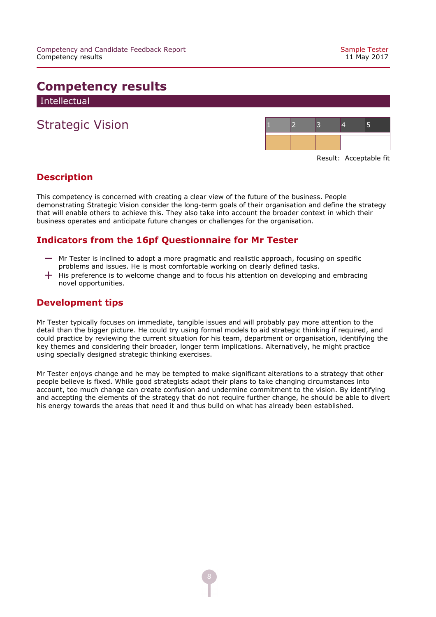Intellectual



Result: Acceptable fit

#### **Description**

This competency is concerned with creating a clear view of the future of the business. People demonstrating Strategic Vision consider the long-term goals of their organisation and define the strategy that will enable others to achieve this. They also take into account the broader context in which their business operates and anticipate future changes or challenges for the organisation.

#### **Indicators from the 16pf Questionnaire for Mr Tester**

- − Mr Tester is inclined to adopt a more pragmatic and realistic approach, focusing on specific problems and issues. He is most comfortable working on clearly defined tasks.
- + His preference is to welcome change and to focus his attention on developing and embracing novel opportunities.

#### **Development tips**

Mr Tester typically focuses on immediate, tangible issues and will probably pay more attention to the detail than the bigger picture. He could try using formal models to aid strategic thinking if required, and could practice by reviewing the current situation for his team, department or organisation, identifying the key themes and considering their broader, longer term implications. Alternatively, he might practice using specially designed strategic thinking exercises.

Mr Tester enjoys change and he may be tempted to make significant alterations to a strategy that other people believe is fixed. While good strategists adapt their plans to take changing circumstances into account, too much change can create confusion and undermine commitment to the vision. By identifying and accepting the elements of the strategy that do not require further change, he should be able to divert his energy towards the areas that need it and thus build on what has already been established.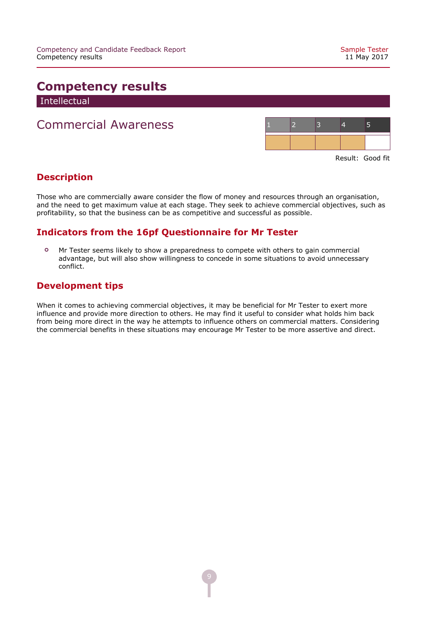Intellectual

## Commercial Awareness 1 2 3 4 5



Result: Good fit

#### **Description**

Those who are commercially aware consider the flow of money and resources through an organisation, and the need to get maximum value at each stage. They seek to achieve commercial objectives, such as profitability, so that the business can be as competitive and successful as possible.

#### **Indicators from the 16pf Questionnaire for Mr Tester**

 $\circ$ Mr Tester seems likely to show a preparedness to compete with others to gain commercial advantage, but will also show willingness to concede in some situations to avoid unnecessary conflict.

#### **Development tips**

When it comes to achieving commercial objectives, it may be beneficial for Mr Tester to exert more influence and provide more direction to others. He may find it useful to consider what holds him back from being more direct in the way he attempts to influence others on commercial matters. Considering the commercial benefits in these situations may encourage Mr Tester to be more assertive and direct.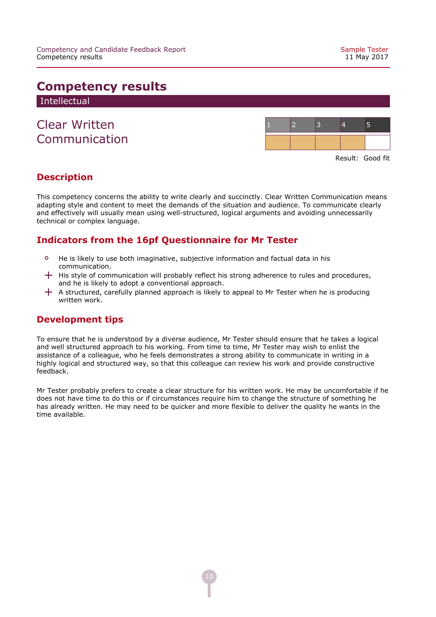Intellectual

Clear Written Communication



Result: Good fit

#### **Description**

This competency concerns the ability to write clearly and succinctly. Clear Written Communication means adapting style and content to meet the demands of the situation and audience. To communicate clearly and effectively will usually mean using well-structured, logical arguments and avoiding unnecessarily technical or complex language.

#### **Indicators from the 16pf Questionnaire for Mr Tester**

- ° He is likely to use both imaginative, subjective information and factual data in his communication.
- + His style of communication will probably reflect his strong adherence to rules and procedures, and he is likely to adopt a conventional approach.
- $+$  A structured, carefully planned approach is likely to appeal to Mr Tester when he is producing written work.

#### **Development tips**

To ensure that he is understood by a diverse audience, Mr Tester should ensure that he takes a logical and well structured approach to his working. From time to time, Mr Tester may wish to enlist the assistance of a colleague, who he feels demonstrates a strong ability to communicate in writing in a highly logical and structured way, so that this colleague can review his work and provide constructive feedback.

Mr Tester probably prefers to create a clear structure for his written work. He may be uncomfortable if he does not have time to do this or if circumstances require him to change the structure of something he has already written. He may need to be quicker and more flexible to deliver the quality he wants in the time available.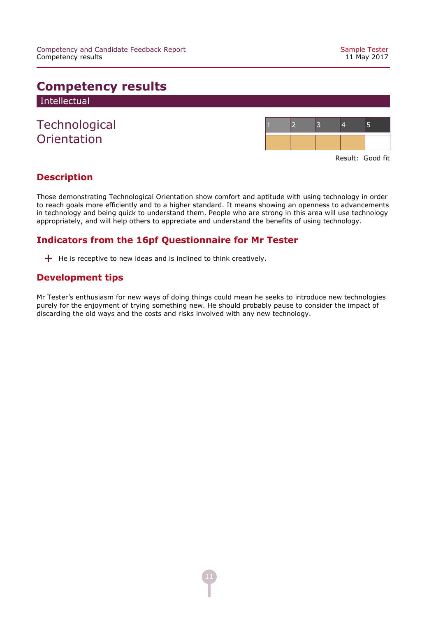Intellectual

**Technological Orientation** 



Result: Good fit

#### **Description**

Those demonstrating Technological Orientation show comfort and aptitude with using technology in order to reach goals more efficiently and to a higher standard. It means showing an openness to advancements in technology and being quick to understand them. People who are strong in this area will use technology appropriately, and will help others to appreciate and understand the benefits of using technology.

#### **Indicators from the 16pf Questionnaire for Mr Tester**

 $+$  He is receptive to new ideas and is inclined to think creatively.

#### **Development tips**

Mr Tester's enthusiasm for new ways of doing things could mean he seeks to introduce new technologies purely for the enjoyment of trying something new. He should probably pause to consider the impact of discarding the old ways and the costs and risks involved with any new technology.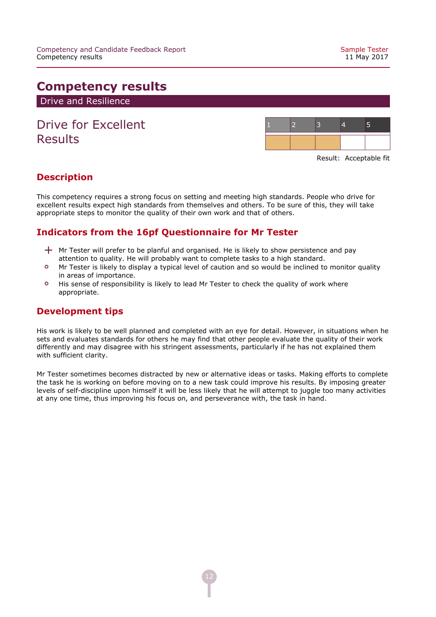Drive and Resilience

## Drive for Excellent Results

Result: Acceptable fit

### **Description**

This competency requires a strong focus on setting and meeting high standards. People who drive for excellent results expect high standards from themselves and others. To be sure of this, they will take appropriate steps to monitor the quality of their own work and that of others.

### **Indicators from the 16pf Questionnaire for Mr Tester**

- $+$  Mr Tester will prefer to be planful and organised. He is likely to show persistence and pay attention to quality. He will probably want to complete tasks to a high standard.
- $\circ$ Mr Tester is likely to display a typical level of caution and so would be inclined to monitor quality in areas of importance.
- $\circ$ His sense of responsibility is likely to lead Mr Tester to check the quality of work where appropriate.

#### **Development tips**

His work is likely to be well planned and completed with an eye for detail. However, in situations when he sets and evaluates standards for others he may find that other people evaluate the quality of their work differently and may disagree with his stringent assessments, particularly if he has not explained them with sufficient clarity.

Mr Tester sometimes becomes distracted by new or alternative ideas or tasks. Making efforts to complete the task he is working on before moving on to a new task could improve his results. By imposing greater levels of self-discipline upon himself it will be less likely that he will attempt to juggle too many activities at any one time, thus improving his focus on, and perseverance with, the task in hand.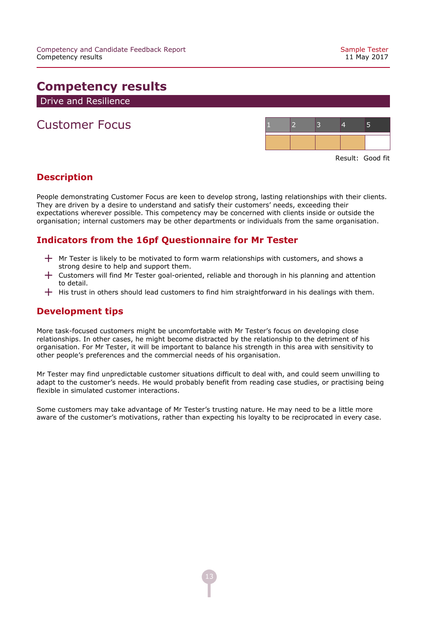Drive and Resilience



Result: Good fit

#### **Description**

People demonstrating Customer Focus are keen to develop strong, lasting relationships with their clients. They are driven by a desire to understand and satisfy their customers' needs, exceeding their expectations wherever possible. This competency may be concerned with clients inside or outside the organisation; internal customers may be other departments or individuals from the same organisation.

#### **Indicators from the 16pf Questionnaire for Mr Tester**

- $+$  Mr Tester is likely to be motivated to form warm relationships with customers, and shows a strong desire to help and support them.
- $+$  Customers will find Mr Tester goal-oriented, reliable and thorough in his planning and attention to detail.
- + His trust in others should lead customers to find him straightforward in his dealings with them.

#### **Development tips**

More task-focused customers might be uncomfortable with Mr Tester's focus on developing close relationships. In other cases, he might become distracted by the relationship to the detriment of his organisation. For Mr Tester, it will be important to balance his strength in this area with sensitivity to other people's preferences and the commercial needs of his organisation.

Mr Tester may find unpredictable customer situations difficult to deal with, and could seem unwilling to adapt to the customer's needs. He would probably benefit from reading case studies, or practising being flexible in simulated customer interactions.

Some customers may take advantage of Mr Tester's trusting nature. He may need to be a little more aware of the customer's motivations, rather than expecting his loyalty to be reciprocated in every case.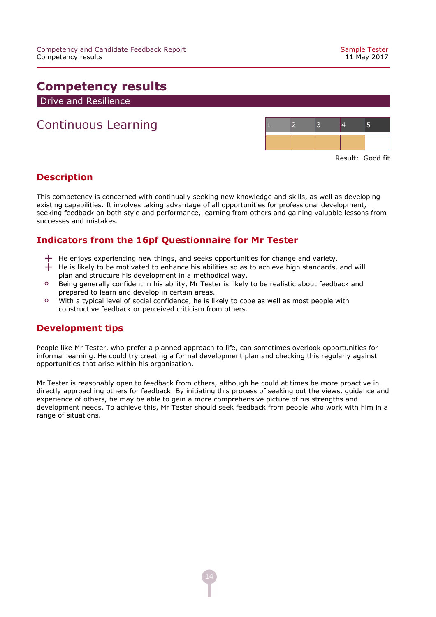Drive and Resilience

## Continuous Learning 1 2 3 4 5



Result: Good fit

#### **Description**

This competency is concerned with continually seeking new knowledge and skills, as well as developing existing capabilities. It involves taking advantage of all opportunities for professional development, seeking feedback on both style and performance, learning from others and gaining valuable lessons from successes and mistakes.

#### **Indicators from the 16pf Questionnaire for Mr Tester**

- + He enjoys experiencing new things, and seeks opportunities for change and variety.
- $+$  He is likely to be motivated to enhance his abilities so as to achieve high standards, and will plan and structure his development in a methodical way.
- $\circ$ Being generally confident in his ability, Mr Tester is likely to be realistic about feedback and prepared to learn and develop in certain areas.
- $\circ$ With a typical level of social confidence, he is likely to cope as well as most people with constructive feedback or perceived criticism from others.

#### **Development tips**

People like Mr Tester, who prefer a planned approach to life, can sometimes overlook opportunities for informal learning. He could try creating a formal development plan and checking this regularly against opportunities that arise within his organisation.

Mr Tester is reasonably open to feedback from others, although he could at times be more proactive in directly approaching others for feedback. By initiating this process of seeking out the views, guidance and experience of others, he may be able to gain a more comprehensive picture of his strengths and development needs. To achieve this, Mr Tester should seek feedback from people who work with him in a range of situations.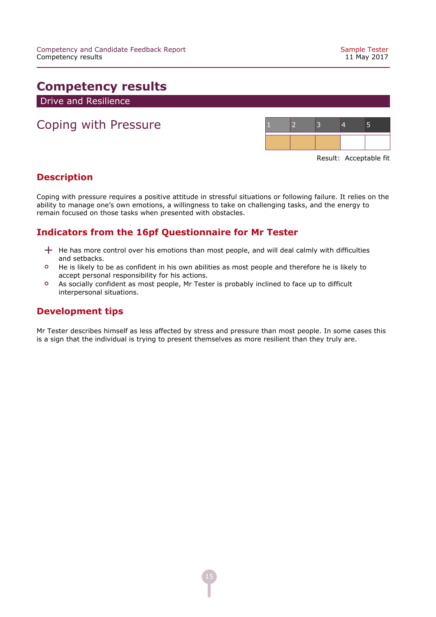Drive and Resilience

## Coping with Pressure  $\frac{1}{2}$   $\frac{2}{3}$   $\frac{4}{5}$



Result: Acceptable fit

#### **Description**

Coping with pressure requires a positive attitude in stressful situations or following failure. It relies on the ability to manage one's own emotions, a willingness to take on challenging tasks, and the energy to remain focused on those tasks when presented with obstacles.

#### **Indicators from the 16pf Questionnaire for Mr Tester**

- $+$  He has more control over his emotions than most people, and will deal calmly with difficulties and setbacks.
- $\circ$ He is likely to be as confident in his own abilities as most people and therefore he is likely to accept personal responsibility for his actions.
- $\circ$ As socially confident as most people, Mr Tester is probably inclined to face up to difficult interpersonal situations.

#### **Development tips**

Mr Tester describes himself as less affected by stress and pressure than most people. In some cases this is a sign that the individual is trying to present themselves as more resilient than they truly are.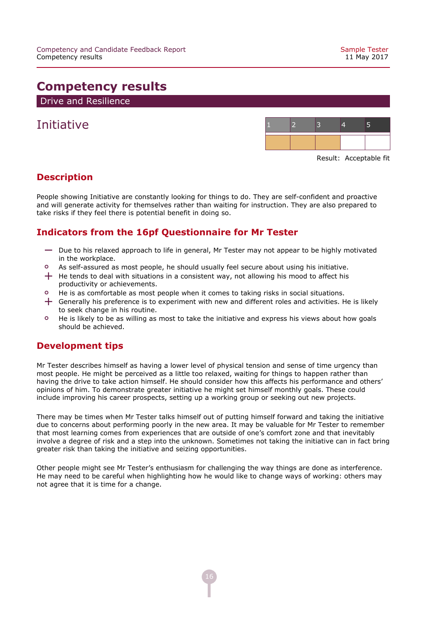Drive and Resilience

## **Initiative**

Result: Acceptable fit

### **Description**

People showing Initiative are constantly looking for things to do. They are self-confident and proactive and will generate activity for themselves rather than waiting for instruction. They are also prepared to take risks if they feel there is potential benefit in doing so.

#### **Indicators from the 16pf Questionnaire for Mr Tester**

- − Due to his relaxed approach to life in general, Mr Tester may not appear to be highly motivated in the workplace.
- °<br>⊥ As self-assured as most people, he should usually feel secure about using his initiative.
- + He tends to deal with situations in a consistent way, not allowing his mood to affect his productivity or achievements.
- °<br>⊥ He is as comfortable as most people when it comes to taking risks in social situations.
- + Generally his preference is to experiment with new and different roles and activities. He is likely to seek change in his routine.
- $\circ$ He is likely to be as willing as most to take the initiative and express his views about how goals should be achieved.

#### **Development tips**

Mr Tester describes himself as having a lower level of physical tension and sense of time urgency than most people. He might be perceived as a little too relaxed, waiting for things to happen rather than having the drive to take action himself. He should consider how this affects his performance and others' opinions of him. To demonstrate greater initiative he might set himself monthly goals. These could include improving his career prospects, setting up a working group or seeking out new projects.

There may be times when Mr Tester talks himself out of putting himself forward and taking the initiative due to concerns about performing poorly in the new area. It may be valuable for Mr Tester to remember that most learning comes from experiences that are outside of one's comfort zone and that inevitably involve a degree of risk and a step into the unknown. Sometimes not taking the initiative can in fact bring greater risk than taking the initiative and seizing opportunities.

Other people might see Mr Tester's enthusiasm for challenging the way things are done as interference. He may need to be careful when highlighting how he would like to change ways of working: others may not agree that it is time for a change.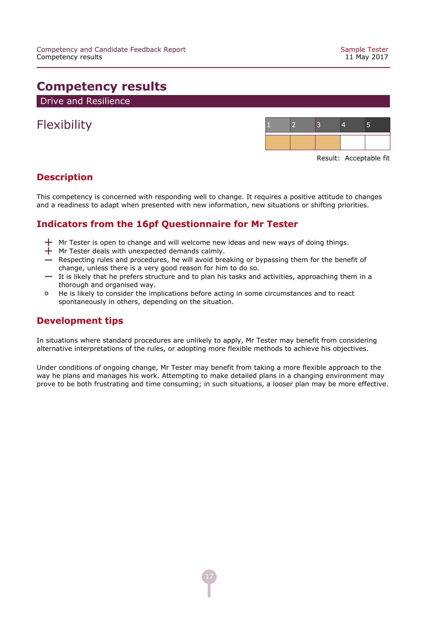Drive and Resilience

## **Flexibility**

Result: Acceptable fit

### **Description**

This competency is concerned with responding well to change. It requires a positive attitude to changes and a readiness to adapt when presented with new information, new situations or shifting priorities.

#### **Indicators from the 16pf Questionnaire for Mr Tester**

- $+$  Mr Tester is open to change and will welcome new ideas and new ways of doing things.
- $+$  Mr Tester deals with unexpected demands calmly.
- − Respecting rules and procedures, he will avoid breaking or bypassing them for the benefit of change, unless there is a very good reason for him to do so.
- − It is likely that he prefers structure and to plan his tasks and activities, approaching them in a thorough and organised way.
- $\circ$ He is likely to consider the implications before acting in some circumstances and to react spontaneously in others, depending on the situation.

#### **Development tips**

In situations where standard procedures are unlikely to apply, Mr Tester may benefit from considering alternative interpretations of the rules, or adopting more flexible methods to achieve his objectives.

Under conditions of ongoing change, Mr Tester may benefit from taking a more flexible approach to the way he plans and manages his work. Attempting to make detailed plans in a changing environment may prove to be both frustrating and time consuming; in such situations, a looser plan may be more effective.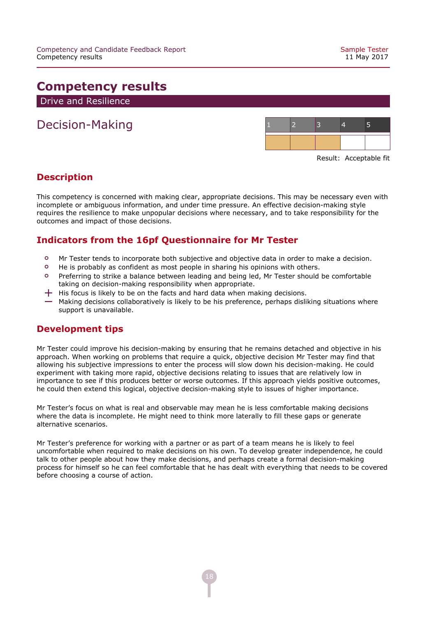Drive and Resilience



Result: Acceptable fit

#### **Description**

This competency is concerned with making clear, appropriate decisions. This may be necessary even with incomplete or ambiguous information, and under time pressure. An effective decision-making style requires the resilience to make unpopular decisions where necessary, and to take responsibility for the outcomes and impact of those decisions.

#### **Indicators from the 16pf Questionnaire for Mr Tester**

- $\circ$ Mr Tester tends to incorporate both subjective and objective data in order to make a decision.
- $\circ$ He is probably as confident as most people in sharing his opinions with others.
- $\circ$ Preferring to strike a balance between leading and being led, Mr Tester should be comfortable taking on decision-making responsibility when appropriate.
- $+$  His focus is likely to be on the facts and hard data when making decisions.
- Making decisions collaboratively is likely to be his preference, perhaps disliking situations where support is unavailable.

#### **Development tips**

Mr Tester could improve his decision-making by ensuring that he remains detached and objective in his approach. When working on problems that require a quick, objective decision Mr Tester may find that allowing his subjective impressions to enter the process will slow down his decision-making. He could experiment with taking more rapid, objective decisions relating to issues that are relatively low in importance to see if this produces better or worse outcomes. If this approach yields positive outcomes, he could then extend this logical, objective decision-making style to issues of higher importance.

Mr Tester's focus on what is real and observable may mean he is less comfortable making decisions where the data is incomplete. He might need to think more laterally to fill these gaps or generate alternative scenarios.

Mr Tester's preference for working with a partner or as part of a team means he is likely to feel uncomfortable when required to make decisions on his own. To develop greater independence, he could talk to other people about how they make decisions, and perhaps create a formal decision-making process for himself so he can feel comfortable that he has dealt with everything that needs to be covered before choosing a course of action.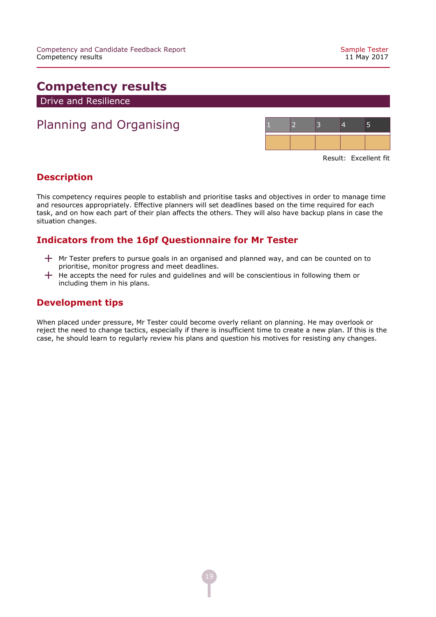Drive and Resilience

## Planning and Organising  $\begin{array}{ccc} 1 & 2 & 3 & 4 & 5 \end{array}$



Result: Excellent fit

#### **Description**

This competency requires people to establish and prioritise tasks and objectives in order to manage time and resources appropriately. Effective planners will set deadlines based on the time required for each task, and on how each part of their plan affects the others. They will also have backup plans in case the situation changes.

#### **Indicators from the 16pf Questionnaire for Mr Tester**

- $+$  Mr Tester prefers to pursue goals in an organised and planned way, and can be counted on to prioritise, monitor progress and meet deadlines.
- + He accepts the need for rules and guidelines and will be conscientious in following them or including them in his plans.

#### **Development tips**

When placed under pressure, Mr Tester could become overly reliant on planning. He may overlook or reject the need to change tactics, especially if there is insufficient time to create a new plan. If this is the case, he should learn to regularly review his plans and question his motives for resisting any changes.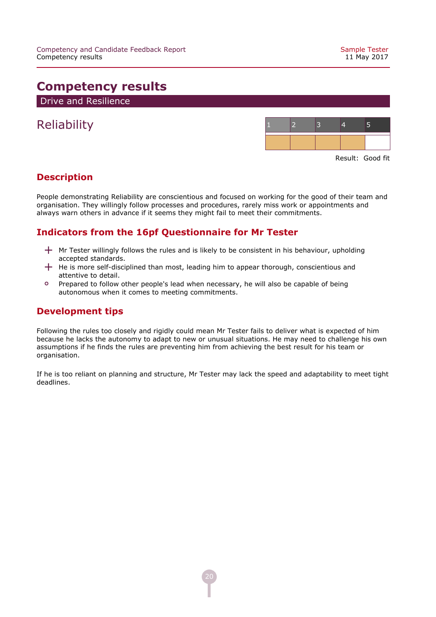Drive and Resilience



Result: Good fit

#### **Description**

People demonstrating Reliability are conscientious and focused on working for the good of their team and organisation. They willingly follow processes and procedures, rarely miss work or appointments and always warn others in advance if it seems they might fail to meet their commitments.

#### **Indicators from the 16pf Questionnaire for Mr Tester**

- $+$  Mr Tester willingly follows the rules and is likely to be consistent in his behaviour, upholding accepted standards.
- $+$  He is more self-disciplined than most, leading him to appear thorough, conscientious and attentive to detail.
- $\circ$ Prepared to follow other people's lead when necessary, he will also be capable of being autonomous when it comes to meeting commitments.

#### **Development tips**

Following the rules too closely and rigidly could mean Mr Tester fails to deliver what is expected of him because he lacks the autonomy to adapt to new or unusual situations. He may need to challenge his own assumptions if he finds the rules are preventing him from achieving the best result for his team or organisation.

If he is too reliant on planning and structure, Mr Tester may lack the speed and adaptability to meet tight deadlines.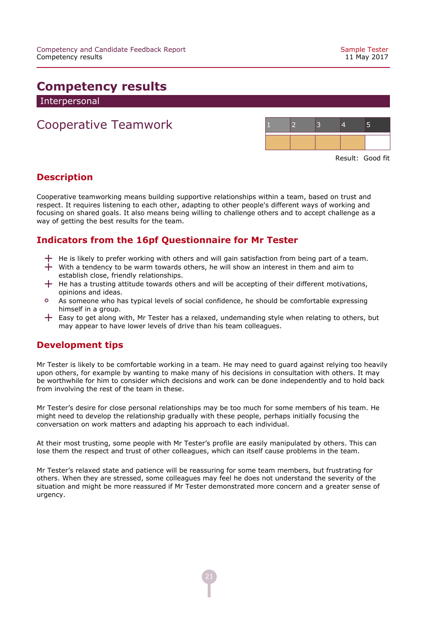Interpersonal

## Cooperative Teamwork 1 2 3 4 5



Result: Good fit

#### **Description**

Cooperative teamworking means building supportive relationships within a team, based on trust and respect. It requires listening to each other, adapting to other people's different ways of working and focusing on shared goals. It also means being willing to challenge others and to accept challenge as a way of getting the best results for the team.

#### **Indicators from the 16pf Questionnaire for Mr Tester**

- $+$  He is likely to prefer working with others and will gain satisfaction from being part of a team.
- $+$  With a tendency to be warm towards others, he will show an interest in them and aim to establish close, friendly relationships.
- + He has a trusting attitude towards others and will be accepting of their different motivations, opinions and ideas.
- $\Omega$ As someone who has typical levels of social confidence, he should be comfortable expressing himself in a group.
- + Easy to get along with, Mr Tester has a relaxed, undemanding style when relating to others, but may appear to have lower levels of drive than his team colleagues.

#### **Development tips**

Mr Tester is likely to be comfortable working in a team. He may need to guard against relying too heavily upon others, for example by wanting to make many of his decisions in consultation with others. It may be worthwhile for him to consider which decisions and work can be done independently and to hold back from involving the rest of the team in these.

Mr Tester's desire for close personal relationships may be too much for some members of his team. He might need to develop the relationship gradually with these people, perhaps initially focusing the conversation on work matters and adapting his approach to each individual.

At their most trusting, some people with Mr Tester's profile are easily manipulated by others. This can lose them the respect and trust of other colleagues, which can itself cause problems in the team.

Mr Tester's relaxed state and patience will be reassuring for some team members, but frustrating for others. When they are stressed, some colleagues may feel he does not understand the severity of the situation and might be more reassured if Mr Tester demonstrated more concern and a greater sense of urgency.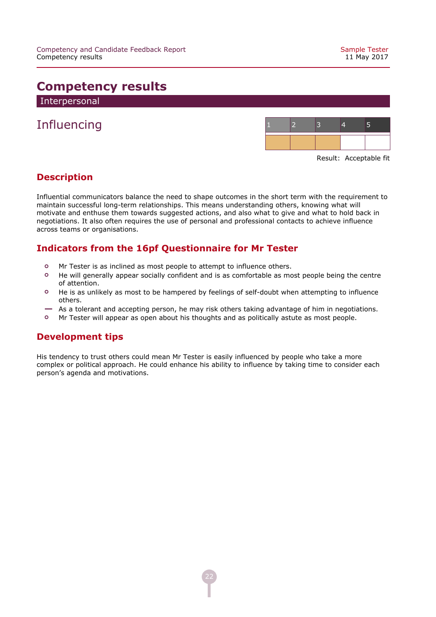Interpersonal



Result: Acceptable fit

#### **Description**

Influential communicators balance the need to shape outcomes in the short term with the requirement to maintain successful long-term relationships. This means understanding others, knowing what will motivate and enthuse them towards suggested actions, and also what to give and what to hold back in negotiations. It also often requires the use of personal and professional contacts to achieve influence across teams or organisations.

#### **Indicators from the 16pf Questionnaire for Mr Tester**

- $\circ$ Mr Tester is as inclined as most people to attempt to influence others.
- $\circ$ He will generally appear socially confident and is as comfortable as most people being the centre of attention.
- $\circ$ He is as unlikely as most to be hampered by feelings of self-doubt when attempting to influence others.
- As a tolerant and accepting person, he may risk others taking advantage of him in negotiations.
- $\circ$ Mr Tester will appear as open about his thoughts and as politically astute as most people.

#### **Development tips**

His tendency to trust others could mean Mr Tester is easily influenced by people who take a more complex or political approach. He could enhance his ability to influence by taking time to consider each person's agenda and motivations.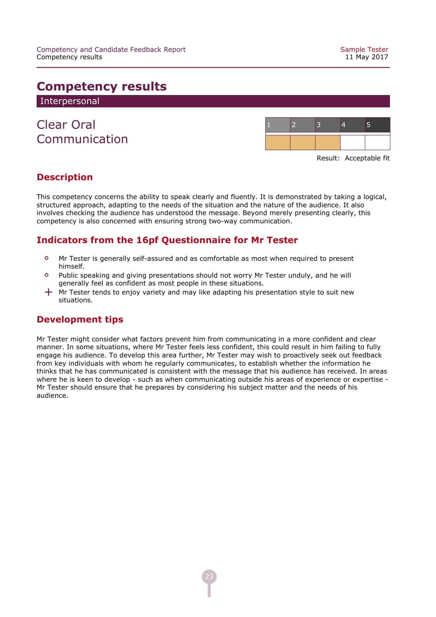Interpersonal

## Clear Oral Communication



Result: Acceptable fit

### **Description**

This competency concerns the ability to speak clearly and fluently. It is demonstrated by taking a logical, structured approach, adapting to the needs of the situation and the nature of the audience. It also involves checking the audience has understood the message. Beyond merely presenting clearly, this competency is also concerned with ensuring strong two-way communication.

#### **Indicators from the 16pf Questionnaire for Mr Tester**

- $\circ$ Mr Tester is generally self-assured and as comfortable as most when required to present himself.
- $\circ$ Public speaking and giving presentations should not worry Mr Tester unduly, and he will generally feel as confident as most people in these situations.
- $+$  Mr Tester tends to enjoy variety and may like adapting his presentation style to suit new situations.

#### **Development tips**

Mr Tester might consider what factors prevent him from communicating in a more confident and clear manner. In some situations, where Mr Tester feels less confident, this could result in him failing to fully engage his audience. To develop this area further, Mr Tester may wish to proactively seek out feedback from key individuals with whom he regularly communicates, to establish whether the information he thinks that he has communicated is consistent with the message that his audience has received. In areas where he is keen to develop - such as when communicating outside his areas of experience or expertise -Mr Tester should ensure that he prepares by considering his subject matter and the needs of his audience.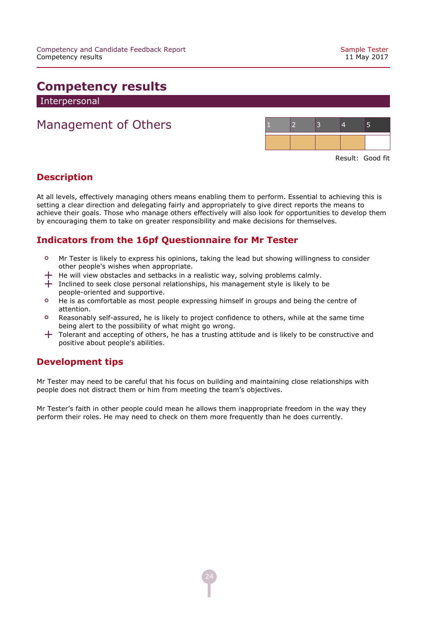Interpersonal

## Management of Others  $\begin{array}{ccc} 1 & 2 & 3 & 4 & 5 \end{array}$



Result: Good fit

#### **Description**

At all levels, effectively managing others means enabling them to perform. Essential to achieving this is setting a clear direction and delegating fairly and appropriately to give direct reports the means to achieve their goals. Those who manage others effectively will also look for opportunities to develop them by encouraging them to take on greater responsibility and make decisions for themselves.

#### **Indicators from the 16pf Questionnaire for Mr Tester**

- <sup>o</sup> Mr Tester is likely to express his opinions, taking the lead but showing willingness to consider<br>other neople's wishes when appropriate other people's wishes when appropriate.
- $+$  He will view obstacles and setbacks in a realistic way, solving problems calmly.<br> $+$  Inclined to seek close personal relationships, his management style is likely to l
- Inclined to seek close personal relationships, his management style is likely to be people-oriented and supportive.
- $\circ$ He is as comfortable as most people expressing himself in groups and being the centre of attention.
- $\Omega$ Reasonably self-assured, he is likely to project confidence to others, while at the same time being alert to the possibility of what might go wrong.
- + Tolerant and accepting of others, he has a trusting attitude and is likely to be constructive and positive about people's abilities.

#### **Development tips**

Mr Tester may need to be careful that his focus on building and maintaining close relationships with people does not distract them or him from meeting the team's objectives.

Mr Tester's faith in other people could mean he allows them inappropriate freedom in the way they perform their roles. He may need to check on them more frequently than he does currently.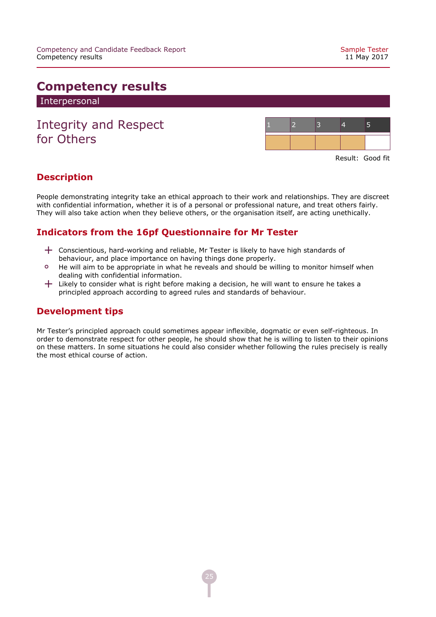Interpersonal

## Integrity and Respect for Others



Result: Good fit

### **Description**

People demonstrating integrity take an ethical approach to their work and relationships. They are discreet with confidential information, whether it is of a personal or professional nature, and treat others fairly. They will also take action when they believe others, or the organisation itself, are acting unethically.

#### **Indicators from the 16pf Questionnaire for Mr Tester**

- $+$  Conscientious, hard-working and reliable, Mr Tester is likely to have high standards of behaviour, and place importance on having things done properly.
- $\circ$ He will aim to be appropriate in what he reveals and should be willing to monitor himself when dealing with confidential information.
- + Likely to consider what is right before making a decision, he will want to ensure he takes a principled approach according to agreed rules and standards of behaviour.

#### **Development tips**

Mr Tester's principled approach could sometimes appear inflexible, dogmatic or even selfrighteous. In order to demonstrate respect for other people, he should show that he is willing to listen to their opinions on these matters. In some situations he could also consider whether following the rules precisely is really the most ethical course of action.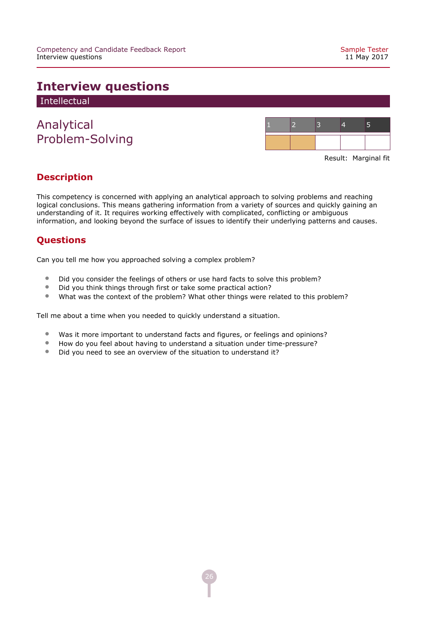Intellectual

Analytical Problem-Solving



Result: Marginal fit

### **Description**

This competency is concerned with applying an analytical approach to solving problems and reaching logical conclusions. This means gathering information from a variety of sources and quickly gaining an understanding of it. It requires working effectively with complicated, conflicting or ambiguous information, and looking beyond the surface of issues to identify their underlying patterns and causes.

### **Questions**

Can you tell me how you approached solving a complex problem?

- Did you consider the feelings of others or use hard facts to solve this problem?<br>• Did you think things through first or take some practical action?
- Did you think things through first or take some practical action?<br>• What was the context of the problem? What other things were re
- What was the context of the problem? What other things were related to this problem?

Tell me about a time when you needed to quickly understand a situation.

- Was it more important to understand facts and figures, or feelings and opinions?<br>• How do you feel about having to understand a situation under time-pressure?
- How do you feel about having to understand a situation under time-pressure?<br>• Did you need to see an overview of the situation to understand it?
- Did you need to see an overview of the situation to understand it?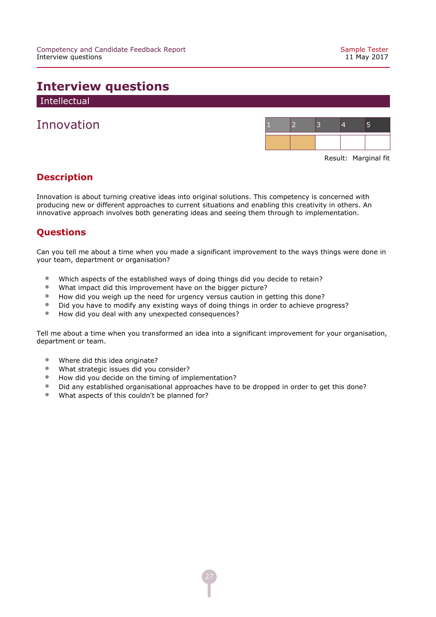#### Intellectual



Result: Marginal fit

#### **Description**

Innovation is about turning creative ideas into original solutions. This competency is concerned with producing new or different approaches to current situations and enabling this creativity in others. An innovative approach involves both generating ideas and seeing them through to implementation.

#### **Questions**

Can you tell me about a time when you made a significant improvement to the ways things were done in your team, department or organisation?

- Which aspects of the established ways of doing things did you decide to retain?<br>• What impact did this improvement have on the bigger picture?
- What impact did this improvement have on the bigger picture?<br>• How did you weigh up the need for urgency versus caution in g
- How did you weigh up the need for urgency versus caution in getting this done?<br>• Did you have to modify any existing ways of doing things in order to achieve pro
- Did you have to modify any existing ways of doing things in order to achieve progress?<br>• How did you deal with any unexpected consequences?
- How did you deal with any unexpected consequences?

Tell me about a time when you transformed an idea into a significant improvement for your organisation, department or team.

- Where did this idea originate?<br>• What strategic issues did you
- What strategic issues did you consider?<br>• How did you decide on the timing of imi
- How did you decide on the timing of implementation?<br>• Did any established organisational approaches have to
- Did any established organisational approaches have to be dropped in order to get this done?<br>• What aspects of this couldn't be planned for?
- What aspects of this couldn't be planned for?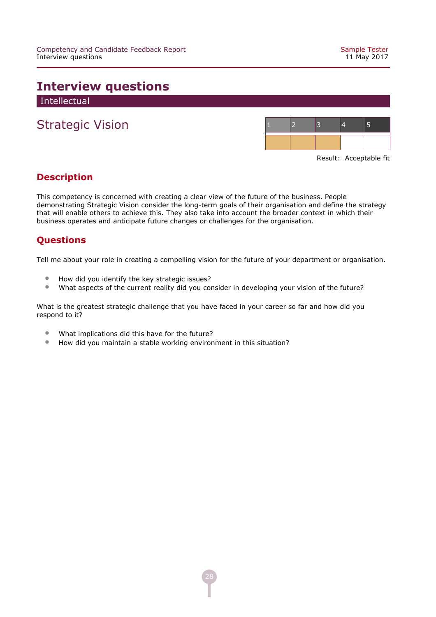Intellectual



Result: Acceptable fit

### **Description**

This competency is concerned with creating a clear view of the future of the business. People demonstrating Strategic Vision consider the long-term goals of their organisation and define the strategy that will enable others to achieve this. They also take into account the broader context in which their business operates and anticipate future changes or challenges for the organisation.

### **Questions**

Tell me about your role in creating a compelling vision for the future of your department or organisation.

- How did you identify the key strategic issues?<br>• What aspects of the current reality did you con
- What aspects of the current reality did you consider in developing your vision of the future?

What is the greatest strategic challenge that you have faced in your career so far and how did you respond to it?

- What implications did this have for the future?<br>• How did you maintain a stable working environ
- How did you maintain a stable working environment in this situation?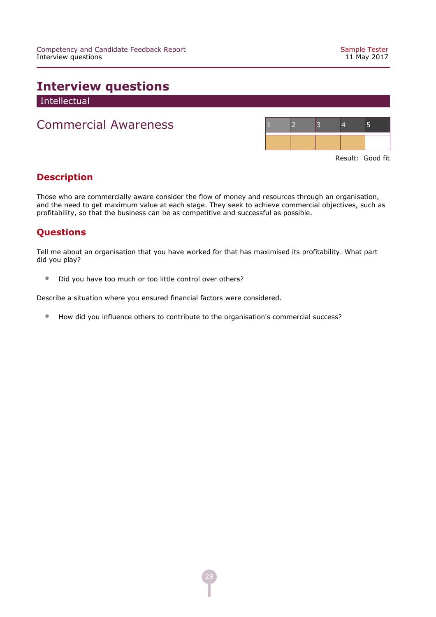#### **Intellectual**

## Commercial Awareness  $\begin{array}{ccc} 1 & 2 & 3 & 4 & 5 \end{array}$



Result: Good fit

#### **Description**

Those who are commercially aware consider the flow of money and resources through an organisation, and the need to get maximum value at each stage. They seek to achieve commercial objectives, such as profitability, so that the business can be as competitive and successful as possible.

#### **Questions**

Tell me about an organisation that you have worked for that has maximised its profitability. What part did you play?

• Did you have too much or too little control over others?

Describe a situation where you ensured financial factors were considered.

• How did you influence others to contribute to the organisation's commercial success?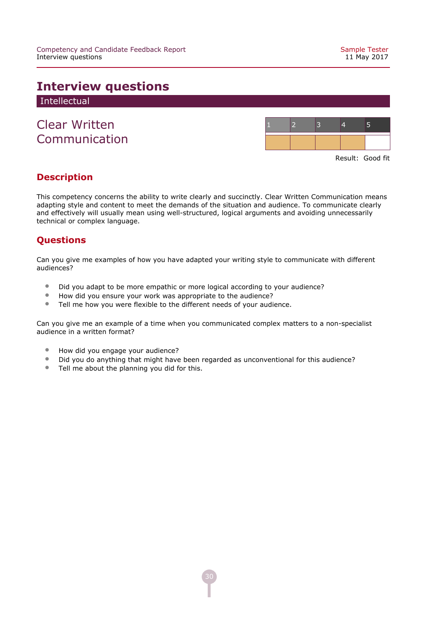Intellectual

Clear Written Communication



Result: Good fit

#### **Description**

This competency concerns the ability to write clearly and succinctly. Clear Written Communication means adapting style and content to meet the demands of the situation and audience. To communicate clearly and effectively will usually mean using well-structured, logical arguments and avoiding unnecessarily technical or complex language.

#### **Questions**

Can you give me examples of how you have adapted your writing style to communicate with different audiences?

- Did you adapt to be more empathic or more logical according to your audience?<br>• How did you ensure your work was appropriate to the audience?
- How did you ensure your work was appropriate to the audience?<br>• Tell me how you were flexible to the different needs of your audi
- Tell me how you were flexible to the different needs of your audience.

Can you give me an example of a time when you communicated complex matters to a non-specialist audience in a written format?

- How did you engage your audience?
- Did you do anything that might have been regarded as unconventional for this audience?<br>• Tell me about the planning you did for this
- Tell me about the planning you did for this.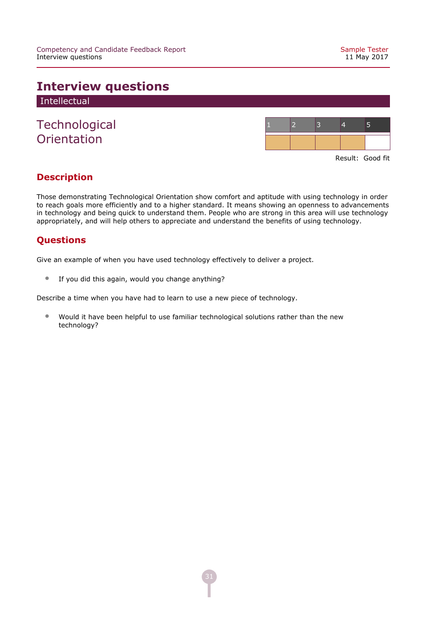Intellectual

**Technological** Orientation



Result: Good fit

### **Description**

Those demonstrating Technological Orientation show comfort and aptitude with using technology in order to reach goals more efficiently and to a higher standard. It means showing an openness to advancements in technology and being quick to understand them. People who are strong in this area will use technology appropriately, and will help others to appreciate and understand the benefits of using technology.

### **Questions**

Give an example of when you have used technology effectively to deliver a project.

• If you did this again, would you change anything?

Describe a time when you have had to learn to use a new piece of technology.

• Would it have been helpful to use familiar technological solutions rather than the new technology?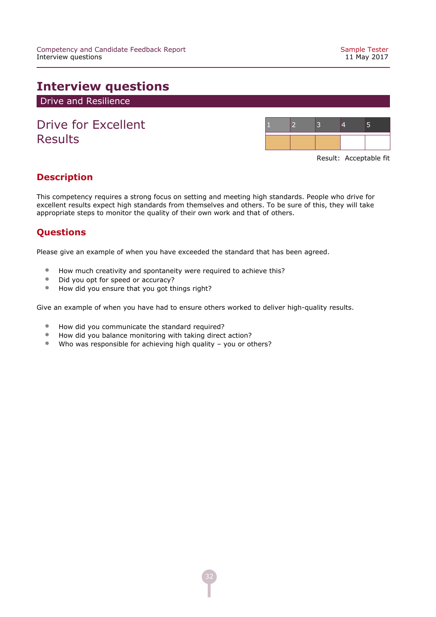Drive and Resilience

## Drive for Excellent **Results**



Result: Acceptable fit

### **Description**

This competency requires a strong focus on setting and meeting high standards. People who drive for excellent results expect high standards from themselves and others. To be sure of this, they will take appropriate steps to monitor the quality of their own work and that of others.

### **Questions**

Please give an example of when you have exceeded the standard that has been agreed.

- How much creativity and spontaneity were required to achieve this?<br>• Did you ont for speed or accuracy?
- Did you opt for speed or accuracy?<br>• How did you ensure that you got the
- How did you ensure that you got things right?

Give an example of when you have had to ensure others worked to deliver high-quality results.

- How did you communicate the standard required?<br>• How did you balance monitoring with taking direct
- How did you balance monitoring with taking direct action?<br>• Who was responsible for achieving bigh quality you or of
- Who was responsible for achieving high quality  $-$  you or others?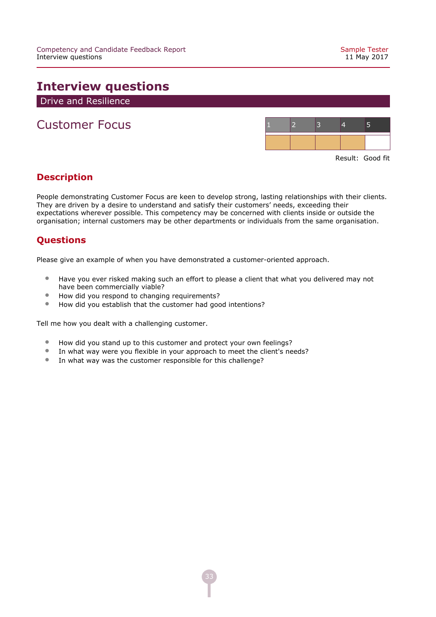Drive and Resilience



Result: Good fit

### **Description**

People demonstrating Customer Focus are keen to develop strong, lasting relationships with their clients. They are driven by a desire to understand and satisfy their customers' needs, exceeding their expectations wherever possible. This competency may be concerned with clients inside or outside the organisation; internal customers may be other departments or individuals from the same organisation.

### **Questions**

Please give an example of when you have demonstrated a customer-oriented approach.

- Have you ever risked making such an effort to please a client that what you delivered may not have been commercially viable?
- How did you respond to changing requirements?<br>• How did you establish that the customer had good
- How did you establish that the customer had good intentions?

Tell me how you dealt with a challenging customer.

- How did you stand up to this customer and protect your own feelings?
- In what way were you flexible in your approach to meet the client's needs?<br>• In what way was the customer responsible for this challenge?
- In what way was the customer responsible for this challenge?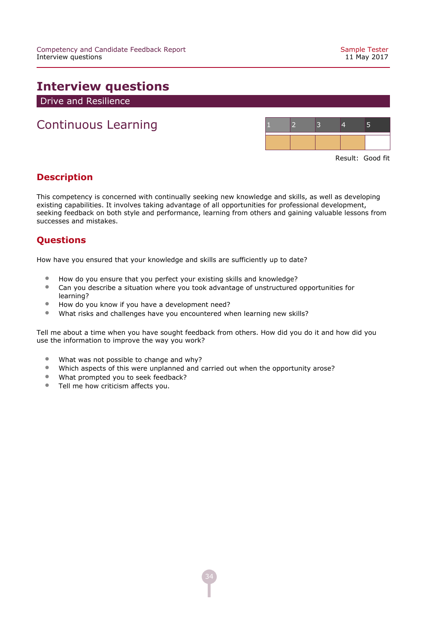Drive and Resilience

## Continuous Learning <sup>1</sup> <sup>2</sup> <sup>3</sup> <sup>4</sup> <sup>5</sup>



Result: Good fit

#### **Description**

This competency is concerned with continually seeking new knowledge and skills, as well as developing existing capabilities. It involves taking advantage of all opportunities for professional development, seeking feedback on both style and performance, learning from others and gaining valuable lessons from successes and mistakes.

#### **Questions**

How have you ensured that your knowledge and skills are sufficiently up to date?

- How do you ensure that you perfect your existing skills and knowledge?<br>• Can you describe a situation where you took advantage of unstructured
- Can you describe a situation where you took advantage of unstructured opportunities for learning?
- How do you know if you have a development need?<br>• What risks and challenges have you encountered when
- What risks and challenges have you encountered when learning new skills?

Tell me about a time when you have sought feedback from others. How did you do it and how did you use the information to improve the way you work?

- What was not possible to change and why?<br>• Which aspects of this were unplanned and  $\epsilon$
- Which aspects of this were unplanned and carried out when the opportunity arose?<br>• What prompted you to seek feedback?
- What prompted you to seek feedback?<br>• Tell me how criticism affects you
- Tell me how criticism affects you.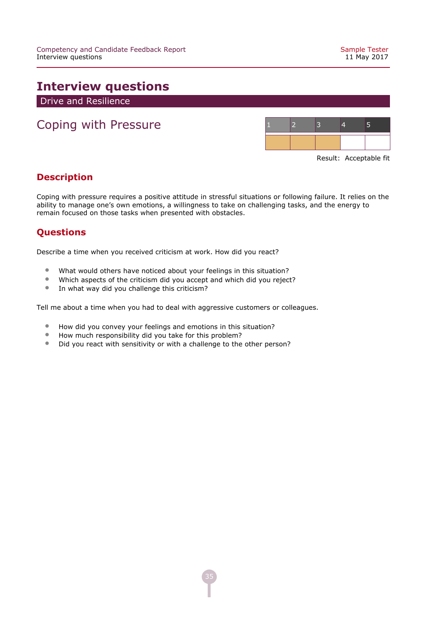Drive and Resilience

## Coping with Pressure  $\frac{1}{2}$   $\frac{1}{3}$   $\frac{1}{4}$   $\frac{5}{5}$



Result: Acceptable fit

### **Description**

Coping with pressure requires a positive attitude in stressful situations or following failure. It relies on the ability to manage one's own emotions, a willingness to take on challenging tasks, and the energy to remain focused on those tasks when presented with obstacles.

### **Questions**

Describe a time when you received criticism at work. How did you react?

- What would others have noticed about your feelings in this situation?<br>• Which aspects of the criticism did you accept and which did you rejected
- Which aspects of the criticism did you accept and which did you reject?<br>• In what way did you challenge this criticism?
- In what way did you challenge this criticism?

Tell me about a time when you had to deal with aggressive customers or colleagues.

- How did you convey your feelings and emotions in this situation?<br>• How much responsibility did you take for this problem?
- How much responsibility did you take for this problem?<br>• Did you react with sensitivity or with a challenge to the
- Did you react with sensitivity or with a challenge to the other person?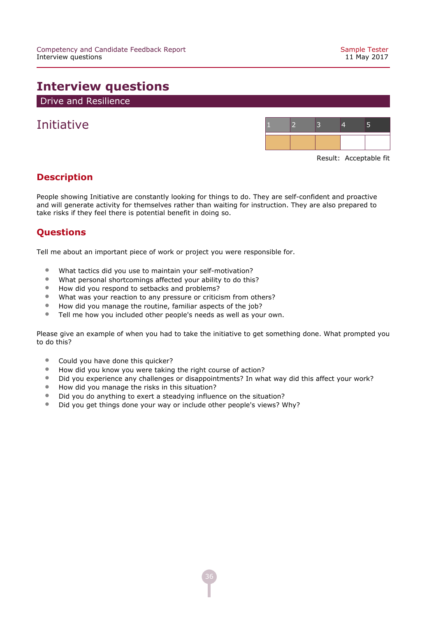Drive and Resilience

## **Initiative**

Result: Acceptable fit

### **Description**

People showing Initiative are constantly looking for things to do. They are self-confident and proactive and will generate activity for themselves rather than waiting for instruction. They are also prepared to take risks if they feel there is potential benefit in doing so.

### **Questions**

Tell me about an important piece of work or project you were responsible for.

- What tactics did you use to maintain your self-motivation?<br>• What personal shortcomings affected your ability to do this
- What personal shortcomings affected your ability to do this?<br>• How did you respond to setbacks and problems?
- How did you respond to setbacks and problems?<br>• What was your reaction to any pressure or critici
- What was your reaction to any pressure or criticism from others?<br>• How did you manage the routine, familiar aspects of the iob?
- How did you manage the routine, familiar aspects of the job?<br>• Tell me how you included other people's needs as well as you
- Tell me how you included other people's needs as well as your own.

Please give an example of when you had to take the initiative to get something done. What prompted you to do this?

- Could you have done this quicker?<br>• How did you know you were taking
- How did you know you were taking the right course of action?<br>• Did you experience any challenges or disappointments? In what
- Did you experience any challenges or disappointments? In what way did this affect your work?<br>• How did you manage the risks in this situation?
- How did you manage the risks in this situation?<br>• Did you do anything to exert a steadying influer
- Did you do anything to exert a steadying influence on the situation?<br>• Did you get things done your way or include other people's views? W
- Did you get things done your way or include other people's views? Why?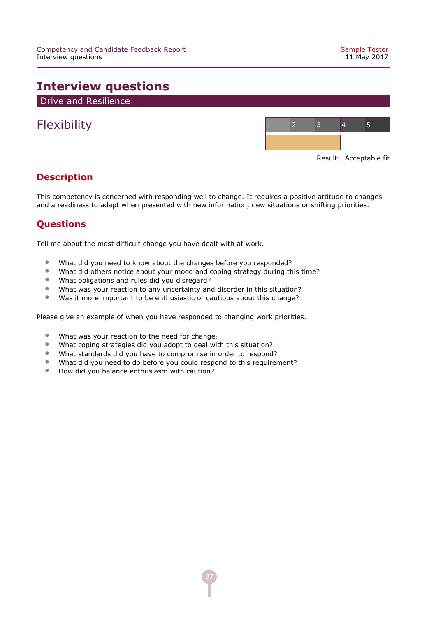Drive and Resilience

## **Flexibility**

Result: Acceptable fit

### **Description**

This competency is concerned with responding well to change. It requires a positive attitude to changes and a readiness to adapt when presented with new information, new situations or shifting priorities.

#### **Questions**

Tell me about the most difficult change you have dealt with at work.

- What did you need to know about the changes before you responded?<br>• What did others notice about your mood and coning strategy during the
- What did others notice about your mood and coping strategy during this time?<br>• What obligations and rules did you disregard?
- What obligations and rules did you disregard?<br>• What was your reaction to any uncertainty and
- What was your reaction to any uncertainty and disorder in this situation?<br>• Was it more important to be enthusiastic or cautious about this change?
- Was it more important to be enthusiastic or cautious about this change?

Please give an example of when you have responded to changing work priorities.

- What was your reaction to the need for change?<br>• What coning strategies did you adont to deal wit
- What coping strategies did you adopt to deal with this situation?<br>• What standards did you have to compromise in order to respond
- What standards did you have to compromise in order to respond?<br>• What did you need to do before you could respond to this requirer
- What did you need to do before you could respond to this requirement?<br>• How did you balance enthusiasm with caution?
- How did you balance enthusiasm with caution?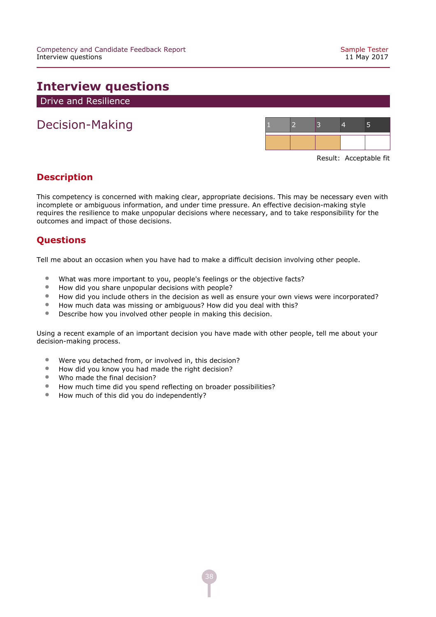Drive and Resilience



Result: Acceptable fit

### **Description**

This competency is concerned with making clear, appropriate decisions. This may be necessary even with incomplete or ambiguous information, and under time pressure. An effective decision-making style requires the resilience to make unpopular decisions where necessary, and to take responsibility for the outcomes and impact of those decisions.

### **Questions**

Tell me about an occasion when you have had to make a difficult decision involving other people.

- What was more important to you, people's feelings or the objective facts?<br>• How did you share unnopular decisions with people?
- How did you share unpopular decisions with people?<br>• How did you include others in the decision as well as
- How did you include others in the decision as well as ensure your own views were incorporated?<br>• How much data was missing or ambiguous? How did you deal with this?
- How much data was missing or ambiguous? How did you deal with this?<br>• Describe how you involved other neonle in making this decision
- Describe how you involved other people in making this decision.

Using a recent example of an important decision you have made with other people, tell me about your decision-making process.

- Were you detached from, or involved in, this decision?<br>• How did you know you had made the right decision?
- How did you know you had made the right decision?<br>• Who made the final decision?
- Who made the final decision?<br>• How much time did you spend
- How much time did you spend reflecting on broader possibilities?<br>• How much of this did you do independently?
- How much of this did you do independently?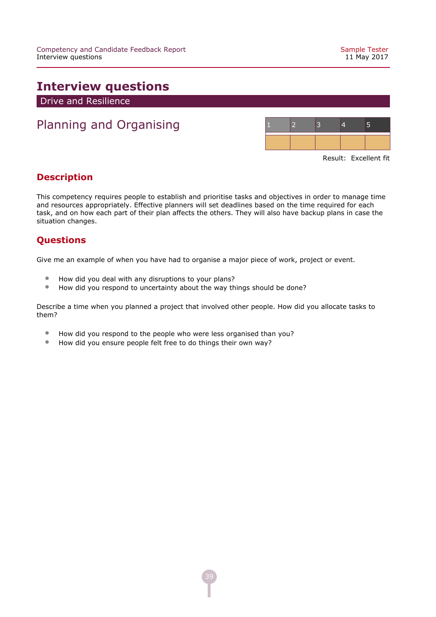Drive and Resilience

## Planning and Organising  $\begin{array}{ccc} 1 & 2 & 3 & 4 & 5 \end{array}$



Result: Excellent fit

### **Description**

This competency requires people to establish and prioritise tasks and objectives in order to manage time and resources appropriately. Effective planners will set deadlines based on the time required for each task, and on how each part of their plan affects the others. They will also have backup plans in case the situation changes.

### **Questions**

Give me an example of when you have had to organise a major piece of work, project or event.

- How did you deal with any disruptions to your plans?<br>• How did you respond to uncertainty about the way the
- How did you respond to uncertainty about the way things should be done?

Describe a time when you planned a project that involved other people. How did you allocate tasks to them?

- How did you respond to the people who were less organised than you?<br>• How did you ensure people felt free to do things their own way?
- How did you ensure people felt free to do things their own way?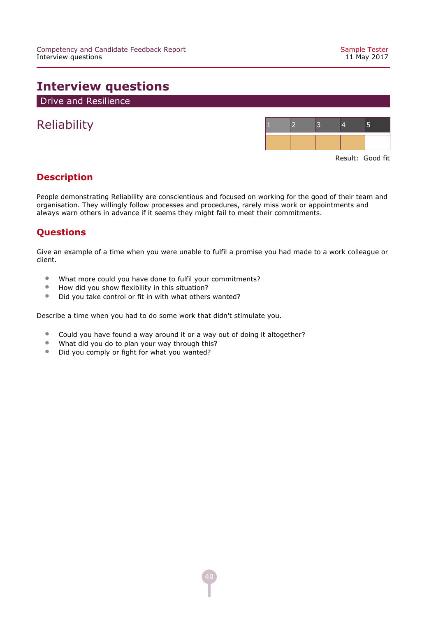Drive and Resilience



Result: Good fit

#### **Description**

People demonstrating Reliability are conscientious and focused on working for the good of their team and organisation. They willingly follow processes and procedures, rarely miss work or appointments and always warn others in advance if it seems they might fail to meet their commitments.

### **Questions**

Give an example of a time when you were unable to fulfil a promise you had made to a work colleague or client.

- What more could you have done to fulfil your commitments?<br>• How did you show flexibility in this situation?
- How did you show flexibility in this situation?<br>• Did you take control or fit in with what others
- Did you take control or fit in with what others wanted?

Describe a time when you had to do some work that didn't stimulate you.

- Could you have found a way around it or a way out of doing it altogether?<br>• What did you do to plan your way through this?
- What did you do to plan your way through this?<br>• Did you comply or fight for what you wanted?
- Did you comply or fight for what you wanted?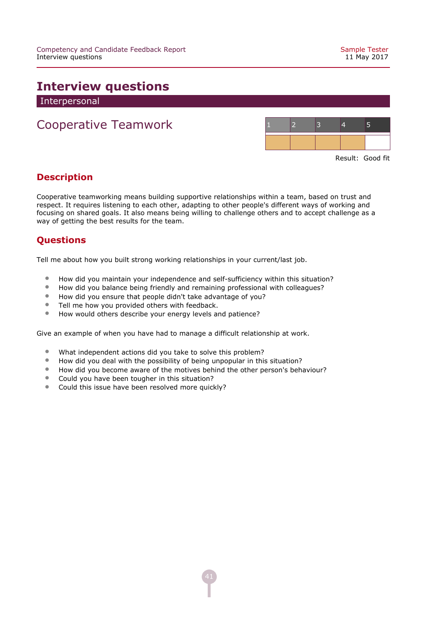Interpersonal

## Cooperative Teamwork  $\begin{array}{ccc} 1 & 2 & 3 & 4 & 5 \end{array}$



Result: Good fit

### **Description**

Cooperative teamworking means building supportive relationships within a team, based on trust and respect. It requires listening to each other, adapting to other people's different ways of working and focusing on shared goals. It also means being willing to challenge others and to accept challenge as a way of getting the best results for the team.

### **Questions**

Tell me about how you built strong working relationships in your current/last job.

- How did you maintain your independence and self-sufficiency within this situation?<br>• How did you balance being friendly and remaining professional with colleagues?
- How did you balance being friendly and remaining professional with colleagues?<br>• How did you ensure that people didn't take advantage of you?
- How did you ensure that people didn't take advantage of you?<br>• Tell me how you provided others with feedback
- Tell me how you provided others with feedback.<br>• How would others describe your energy levels and
- How would others describe your energy levels and patience?

Give an example of when you have had to manage a difficult relationship at work.

- What independent actions did you take to solve this problem?<br>• How did you deal with the possibility of being unpopular in this
- How did you deal with the possibility of being unpopular in this situation?<br>• How did you become aware of the motives behind the other person's beha
- How did you become aware of the motives behind the other person's behaviour?<br>• Could you have been tougher in this situation?
- Could you have been tougher in this situation?<br>• Could this issue have been resolved more quick
- Could this issue have been resolved more quickly?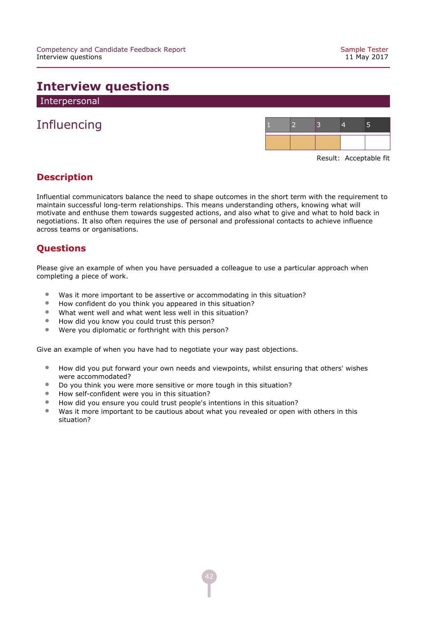Interpersonal



Result: Acceptable fit

### **Description**

Influential communicators balance the need to shape outcomes in the short term with the requirement to maintain successful long-term relationships. This means understanding others, knowing what will motivate and enthuse them towards suggested actions, and also what to give and what to hold back in negotiations. It also often requires the use of personal and professional contacts to achieve influence across teams or organisations.

#### **Questions**

Please give an example of when you have persuaded a colleague to use a particular approach when completing a piece of work.

- Was it more important to be assertive or accommodating in this situation?<br>• How confident do you think you anneared in this situation?
- How confident do you think you appeared in this situation?<br>• What went well and what went less well in this situation?
- What went well and what went less well in this situation?<br>• How did you know you could trust this person?
- How did you know you could trust this person?<br>• Were you diplomatic or forthright with this person
- Were you diplomatic or forthright with this person?

Give an example of when you have had to negotiate your way past objections.

- How did you put forward your own needs and viewpoints, whilst ensuring that others' wishes were accommodated?
- Do you think you were more sensitive or more tough in this situation?<br>• How self-confident were you in this situation?
- How self-confident were you in this situation?<br>• How did you ensure you could trust people's in
- How did you ensure you could trust people's intentions in this situation?<br>• Was it more important to be cautious about what you revealed or open y
- Was it more important to be cautious about what you revealed or open with others in this situation?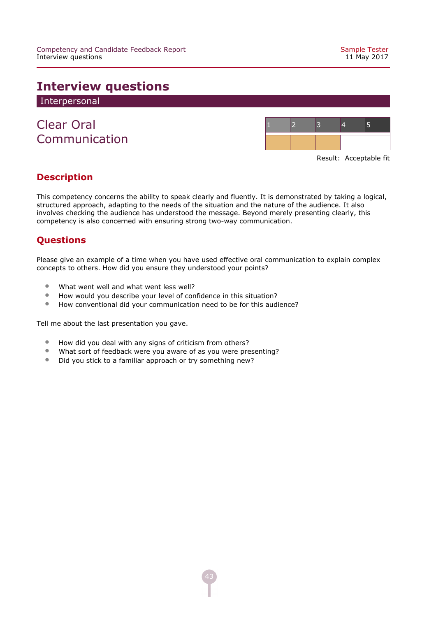Interpersonal

## Clear Oral Communication



Result: Acceptable fit

### **Description**

This competency concerns the ability to speak clearly and fluently. It is demonstrated by taking a logical, structured approach, adapting to the needs of the situation and the nature of the audience. It also involves checking the audience has understood the message. Beyond merely presenting clearly, this competency is also concerned with ensuring strong two-way communication.

### **Questions**

Please give an example of a time when you have used effective oral communication to explain complex concepts to others. How did you ensure they understood your points?

- What went well and what went less well?
- How would you describe your level of confidence in this situation?<br>• How conventional did your communication need to be for this aud
- How conventional did your communication need to be for this audience?

Tell me about the last presentation you gave.

- How did you deal with any signs of criticism from others?<br>• What sort of feedback were you aware of as you were pre
- What sort of feedback were you aware of as you were presenting?<br>• Did you stick to a familiar approach or try something new?
- Did you stick to a familiar approach or try something new?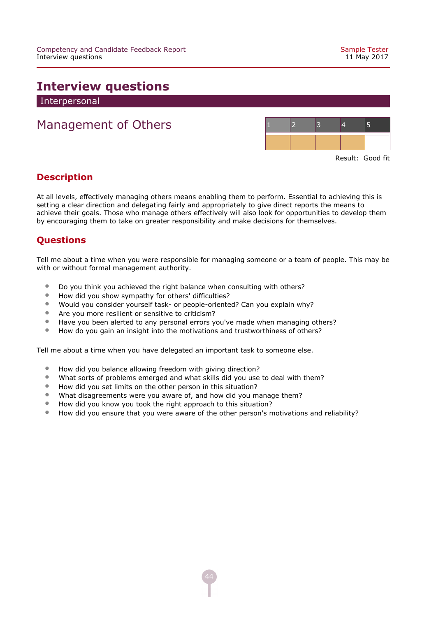Interpersonal

## Management of Others  $\begin{array}{ccc} 1 & 2 & 3 & 4 & 5 \end{array}$



Result: Good fit

#### **Description**

At all levels, effectively managing others means enabling them to perform. Essential to achieving this is setting a clear direction and delegating fairly and appropriately to give direct reports the means to achieve their goals. Those who manage others effectively will also look for opportunities to develop them by encouraging them to take on greater responsibility and make decisions for themselves.

#### **Questions**

Tell me about a time when you were responsible for managing someone or a team of people. This may be with or without formal management authority.

- Do you think you achieved the right balance when consulting with others?<br>• How did you show sympathy for others' difficulties?
- How did you show sympathy for others' difficulties?<br>• Would you consider yourself task- or people-oriente
- Would you consider yourself task- or people-oriented? Can you explain why?<br>• Are you more resilient or sensitive to criticism?
- Are you more resilient or sensitive to criticism?
- Have you been alerted to any personal errors you've made when managing others?<br>• How do you gain an insight into the motivations and trustworthiness of others?
- How do you gain an insight into the motivations and trustworthiness of others?

Tell me about a time when you have delegated an important task to someone else.

- How did you balance allowing freedom with giving direction?<br>• What sorts of problems emerged and what skills did you use
- What sorts of problems emerged and what skills did you use to deal with them?<br>• How did you set limits on the other person in this situation?
- How did you set limits on the other person in this situation?<br>• What disagreements were you aware of and how did you m
- What disagreements were you aware of, and how did you manage them?<br>• How did you know you took the right approach to this situation?
- How did you know you took the right approach to this situation?<br>• How did you ensure that you were aware of the other person's m
- How did you ensure that you were aware of the other person's motivations and reliability?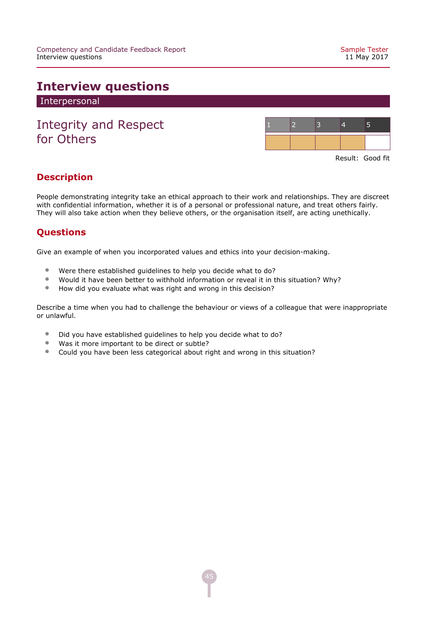Interpersonal

## Integrity and Respect for Others



Result: Good fit

### **Description**

People demonstrating integrity take an ethical approach to their work and relationships. They are discreet with confidential information, whether it is of a personal or professional nature, and treat others fairly. They will also take action when they believe others, or the organisation itself, are acting unethically.

### **Questions**

Give an example of when you incorporated values and ethics into your decision-making.

- Were there established guidelines to help you decide what to do?<br>• Would it have been better to withhold information or reveal it in t
- Would it have been better to withhold information or reveal it in this situation? Why?<br>• How did you evaluate what was right and wrong in this decision?
- How did you evaluate what was right and wrong in this decision?

Describe a time when you had to challenge the behaviour or views of a colleague that were inappropriate or unlawful.

- Did you have established guidelines to help you decide what to do?<br>• Was it more important to be direct or subtle?
- Was it more important to be direct or subtle?<br>• Could you have been less categorical about ri-
- Could you have been less categorical about right and wrong in this situation?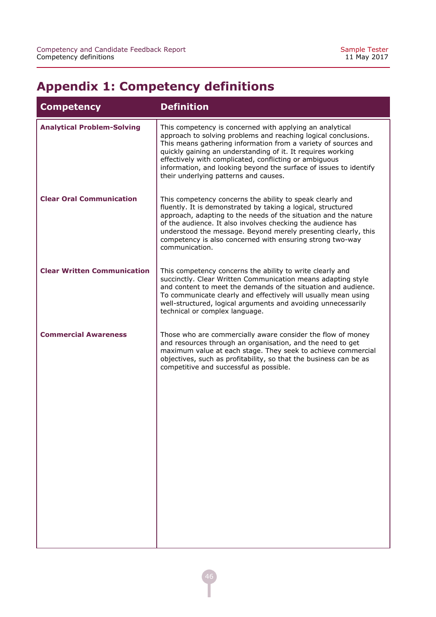## **Appendix 1: Competency definitions**

| <b>Competency</b>                  | <b>Definition</b>                                                                                                                                                                                                                                                                                                                                                                                                                   |
|------------------------------------|-------------------------------------------------------------------------------------------------------------------------------------------------------------------------------------------------------------------------------------------------------------------------------------------------------------------------------------------------------------------------------------------------------------------------------------|
| <b>Analytical Problem-Solving</b>  | This competency is concerned with applying an analytical<br>approach to solving problems and reaching logical conclusions.<br>This means gathering information from a variety of sources and<br>quickly gaining an understanding of it. It requires working<br>effectively with complicated, conflicting or ambiguous<br>information, and looking beyond the surface of issues to identify<br>their underlying patterns and causes. |
| <b>Clear Oral Communication</b>    | This competency concerns the ability to speak clearly and<br>fluently. It is demonstrated by taking a logical, structured<br>approach, adapting to the needs of the situation and the nature<br>of the audience. It also involves checking the audience has<br>understood the message. Beyond merely presenting clearly, this<br>competency is also concerned with ensuring strong two-way<br>communication.                        |
| <b>Clear Written Communication</b> | This competency concerns the ability to write clearly and<br>succinctly. Clear Written Communication means adapting style<br>and content to meet the demands of the situation and audience.<br>To communicate clearly and effectively will usually mean using<br>well-structured, logical arguments and avoiding unnecessarily<br>technical or complex language.                                                                    |
| <b>Commercial Awareness</b>        | Those who are commercially aware consider the flow of money<br>and resources through an organisation, and the need to get<br>maximum value at each stage. They seek to achieve commercial<br>objectives, such as profitability, so that the business can be as<br>competitive and successful as possible.                                                                                                                           |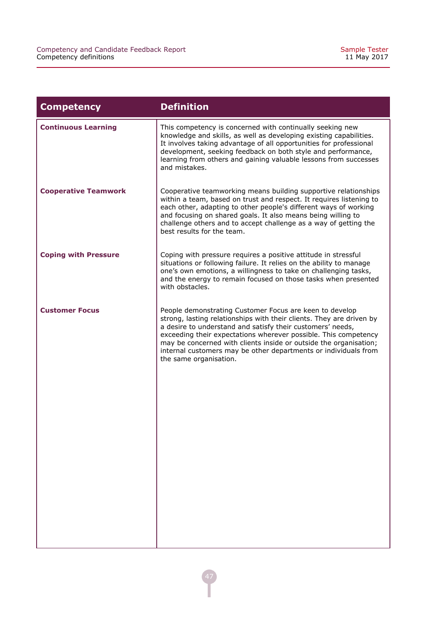| <b>Definition</b>                                                                                                                                                                                                                                                                                                                                                                                                                  |
|------------------------------------------------------------------------------------------------------------------------------------------------------------------------------------------------------------------------------------------------------------------------------------------------------------------------------------------------------------------------------------------------------------------------------------|
| This competency is concerned with continually seeking new<br>knowledge and skills, as well as developing existing capabilities.<br>It involves taking advantage of all opportunities for professional<br>development, seeking feedback on both style and performance,<br>learning from others and gaining valuable lessons from successes<br>and mistakes.                                                                         |
| Cooperative teamworking means building supportive relationships<br>within a team, based on trust and respect. It requires listening to<br>each other, adapting to other people's different ways of working<br>and focusing on shared goals. It also means being willing to<br>challenge others and to accept challenge as a way of getting the<br>best results for the team.                                                       |
| Coping with pressure requires a positive attitude in stressful<br>situations or following failure. It relies on the ability to manage<br>one's own emotions, a willingness to take on challenging tasks,<br>and the energy to remain focused on those tasks when presented<br>with obstacles.                                                                                                                                      |
| People demonstrating Customer Focus are keen to develop<br>strong, lasting relationships with their clients. They are driven by<br>a desire to understand and satisfy their customers' needs,<br>exceeding their expectations wherever possible. This competency<br>may be concerned with clients inside or outside the organisation;<br>internal customers may be other departments or individuals from<br>the same organisation. |
|                                                                                                                                                                                                                                                                                                                                                                                                                                    |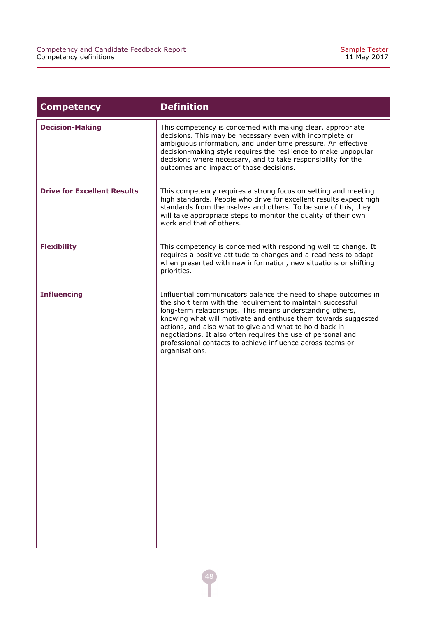| <b>Competency</b>                  | <b>Definition</b>                                                                                                                                                                                                                                                                                                                                                                                                                                                      |
|------------------------------------|------------------------------------------------------------------------------------------------------------------------------------------------------------------------------------------------------------------------------------------------------------------------------------------------------------------------------------------------------------------------------------------------------------------------------------------------------------------------|
| <b>Decision-Making</b>             | This competency is concerned with making clear, appropriate<br>decisions. This may be necessary even with incomplete or<br>ambiguous information, and under time pressure. An effective<br>decision-making style requires the resilience to make unpopular<br>decisions where necessary, and to take responsibility for the<br>outcomes and impact of those decisions.                                                                                                 |
| <b>Drive for Excellent Results</b> | This competency requires a strong focus on setting and meeting<br>high standards. People who drive for excellent results expect high<br>standards from themselves and others. To be sure of this, they<br>will take appropriate steps to monitor the quality of their own<br>work and that of others.                                                                                                                                                                  |
| <b>Flexibility</b>                 | This competency is concerned with responding well to change. It<br>requires a positive attitude to changes and a readiness to adapt<br>when presented with new information, new situations or shifting<br>priorities.                                                                                                                                                                                                                                                  |
| <b>Influencing</b>                 | Influential communicators balance the need to shape outcomes in<br>the short term with the requirement to maintain successful<br>long-term relationships. This means understanding others,<br>knowing what will motivate and enthuse them towards suggested<br>actions, and also what to give and what to hold back in<br>negotiations. It also often requires the use of personal and<br>professional contacts to achieve influence across teams or<br>organisations. |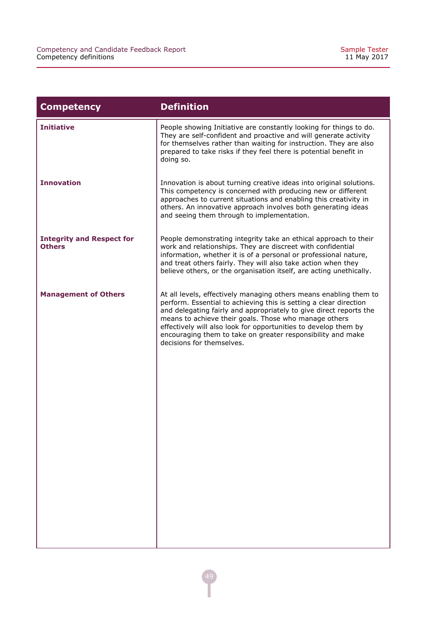| <b>Competency</b>                                 | <b>Definition</b>                                                                                                                                                                                                                                                                                                                                                                                                                    |
|---------------------------------------------------|--------------------------------------------------------------------------------------------------------------------------------------------------------------------------------------------------------------------------------------------------------------------------------------------------------------------------------------------------------------------------------------------------------------------------------------|
| <b>Initiative</b>                                 | People showing Initiative are constantly looking for things to do.<br>They are self-confident and proactive and will generate activity<br>for themselves rather than waiting for instruction. They are also<br>prepared to take risks if they feel there is potential benefit in<br>doing so.                                                                                                                                        |
| <b>Innovation</b>                                 | Innovation is about turning creative ideas into original solutions.<br>This competency is concerned with producing new or different<br>approaches to current situations and enabling this creativity in<br>others. An innovative approach involves both generating ideas<br>and seeing them through to implementation.                                                                                                               |
| <b>Integrity and Respect for</b><br><b>Others</b> | People demonstrating integrity take an ethical approach to their<br>work and relationships. They are discreet with confidential<br>information, whether it is of a personal or professional nature,<br>and treat others fairly. They will also take action when they<br>believe others, or the organisation itself, are acting unethically.                                                                                          |
| <b>Management of Others</b>                       | At all levels, effectively managing others means enabling them to<br>perform. Essential to achieving this is setting a clear direction<br>and delegating fairly and appropriately to give direct reports the<br>means to achieve their goals. Those who manage others<br>effectively will also look for opportunities to develop them by<br>encouraging them to take on greater responsibility and make<br>decisions for themselves. |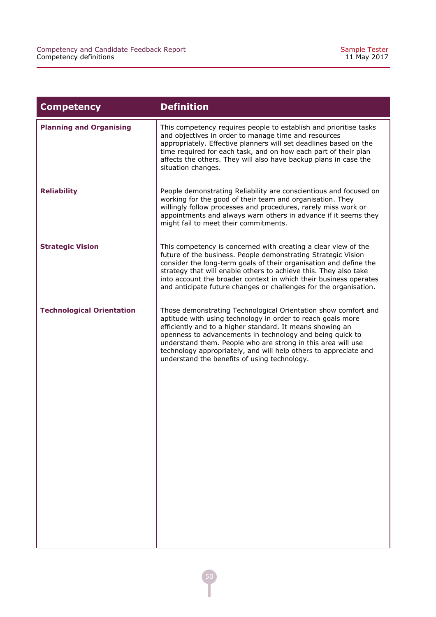| <b>Competency</b>                | <b>Definition</b>                                                                                                                                                                                                                                                                                                                                                                                                                           |
|----------------------------------|---------------------------------------------------------------------------------------------------------------------------------------------------------------------------------------------------------------------------------------------------------------------------------------------------------------------------------------------------------------------------------------------------------------------------------------------|
| <b>Planning and Organising</b>   | This competency requires people to establish and prioritise tasks<br>and objectives in order to manage time and resources<br>appropriately. Effective planners will set deadlines based on the<br>time required for each task, and on how each part of their plan<br>affects the others. They will also have backup plans in case the<br>situation changes.                                                                                 |
| <b>Reliability</b>               | People demonstrating Reliability are conscientious and focused on<br>working for the good of their team and organisation. They<br>willingly follow processes and procedures, rarely miss work or<br>appointments and always warn others in advance if it seems they<br>might fail to meet their commitments.                                                                                                                                |
| <b>Strategic Vision</b>          | This competency is concerned with creating a clear view of the<br>future of the business. People demonstrating Strategic Vision<br>consider the long-term goals of their organisation and define the<br>strategy that will enable others to achieve this. They also take<br>into account the broader context in which their business operates<br>and anticipate future changes or challenges for the organisation.                          |
| <b>Technological Orientation</b> | Those demonstrating Technological Orientation show comfort and<br>aptitude with using technology in order to reach goals more<br>efficiently and to a higher standard. It means showing an<br>openness to advancements in technology and being quick to<br>understand them. People who are strong in this area will use<br>technology appropriately, and will help others to appreciate and<br>understand the benefits of using technology. |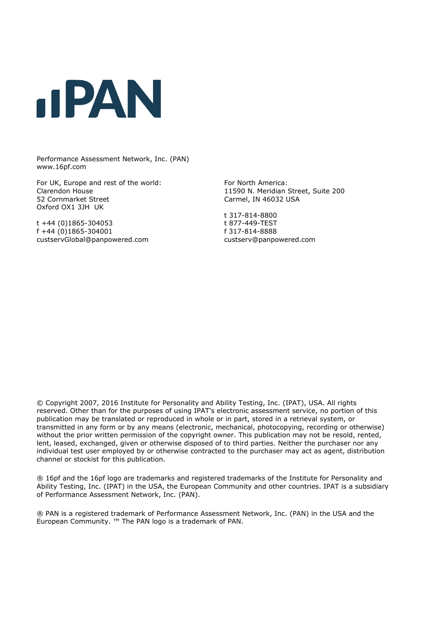

Performance Assessment Network, Inc. (PAN) www.16pf.com

For UK, Europe and rest of the world: Clarendon House 52 Cornmarket Street Oxford OX1 3JH UK

 $t +44 (0)1865 - 304053$  $f +44 (0)1865 - 304001$ custservGlobal@panpowered.com For North America: 11590 N. Meridian Street, Suite 200 Carmel, IN 46032 USA

t 317-814-8800 t 877-449-TEST f 317-814-8888 custserv@panpowered.com

© Copyright 2007, 2016 Institute for Personality and Ability Testing, Inc. (IPAT), USA. All rights reserved. Other than for the purposes of using IPAT's electronic assessment service, no portion of this publication may be translated or reproduced in whole or in part, stored in a retrieval system, or transmitted in any form or by any means (electronic, mechanical, photocopying, recording or otherwise) without the prior written permission of the copyright owner. This publication may not be resold, rented, lent, leased, exchanged, given or otherwise disposed of to third parties. Neither the purchaser nor any individual test user employed by or otherwise contracted to the purchaser may act as agent, distribution channel or stockist for this publication.

® 16pf and the 16pf logo are trademarks and registered trademarks of the Institute for Personality and Ability Testing, Inc. (IPAT) in the USA, the European Community and other countries. IPAT is a subsidiary of Performance Assessment Network, Inc. (PAN).

® PAN is a registered trademark of Performance Assessment Network, Inc. (PAN) in the USA and the European Community. ™ The PAN logo is a trademark of PAN.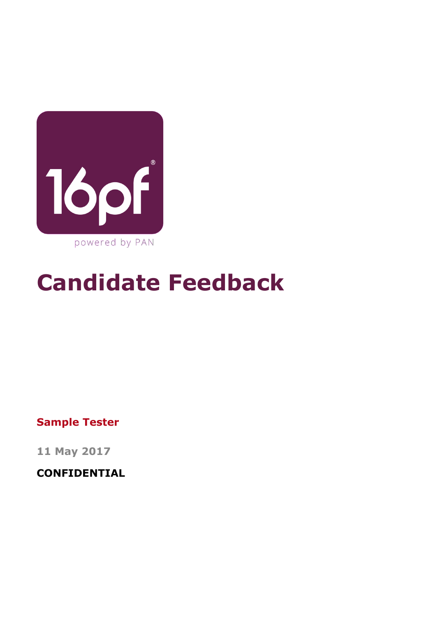

# **Candidate Feedback**

**Sample Tester**

**11 May 2017**

**CONFIDENTIAL**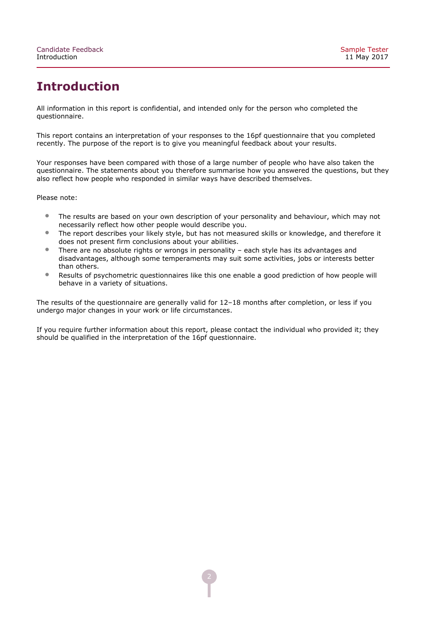## **Introduction**

All information in this report is confidential, and intended only for the person who completed the questionnaire.

This report contains an interpretation of your responses to the 16pf questionnaire that you completed recently. The purpose of the report is to give you meaningful feedback about your results.

Your responses have been compared with those of a large number of people who have also taken the questionnaire. The statements about you therefore summarise how you answered the questions, but they also reflect how people who responded in similar ways have described themselves.

Please note:

- The results are based on your own description of your personality and behaviour, which may not necessarily reflect how other people would describe you.
- The report describes your likely style, but has not measured skills or knowledge, and therefore it does not present firm conclusions about your abilities.
- There are no absolute rights or wrongs in personality each style has its advantages and disadvantages, although some temperaments may suit some activities, jobs or interests better than others.
- Results of psychometric questionnaires like this one enable a good prediction of how people will behave in a variety of situations.

The results of the questionnaire are generally valid for 12–18 months after completion, or less if you undergo major changes in your work or life circumstances.

If you require further information about this report, please contact the individual who provided it; they should be qualified in the interpretation of the 16pf questionnaire.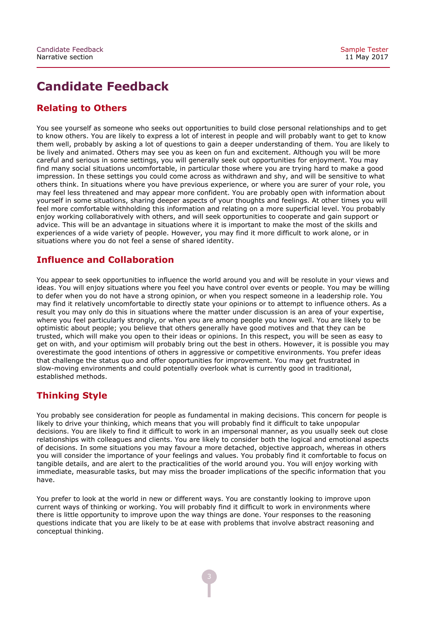## **Candidate Feedback**

#### **Relating to Others**

You see yourself as someone who seeks out opportunities to build close personal relationships and to get to know others. You are likely to express a lot of interest in people and will probably want to get to know them well, probably by asking a lot of questions to gain a deeper understanding of them. You are likely to be lively and animated. Others may see you as keen on fun and excitement. Although you will be more careful and serious in some settings, you will generally seek out opportunities for enjoyment. You may find many social situations uncomfortable, in particular those where you are trying hard to make a good impression. In these settings you could come across as withdrawn and shy, and will be sensitive to what others think. In situations where you have previous experience, or where you are surer of your role, you may feel less threatened and may appear more confident. You are probably open with information about yourself in some situations, sharing deeper aspects of your thoughts and feelings. At other times you will feel more comfortable withholding this information and relating on a more superficial level. You probably enjoy working collaboratively with others, and will seek opportunities to cooperate and gain support or advice. This will be an advantage in situations where it is important to make the most of the skills and experiences of a wide variety of people. However, you may find it more difficult to work alone, or in situations where you do not feel a sense of shared identity.

#### **Influence and Collaboration**

You appear to seek opportunities to influence the world around you and will be resolute in your views and ideas. You will enjoy situations where you feel you have control over events or people. You may be willing to defer when you do not have a strong opinion, or when you respect someone in a leadership role. You may find it relatively uncomfortable to directly state your opinions or to attempt to influence others. As a result you may only do this in situations where the matter under discussion is an area of your expertise, where you feel particularly strongly, or when you are among people you know well. You are likely to be optimistic about people; you believe that others generally have good motives and that they can be trusted, which will make you open to their ideas or opinions. In this respect, you will be seen as easy to get on with, and your optimism will probably bring out the best in others. However, it is possible you may overestimate the good intentions of others in aggressive or competitive environments. You prefer ideas that challenge the status quo and offer opportunities for improvement. You may get frustrated in slow-moving environments and could potentially overlook what is currently good in traditional, established methods.

#### **Thinking Style**

You probably see consideration for people as fundamental in making decisions. This concern for people is likely to drive your thinking, which means that you will probably find it difficult to take unpopular decisions. You are likely to find it difficult to work in an impersonal manner, as you usually seek out close relationships with colleagues and clients. You are likely to consider both the logical and emotional aspects of decisions. In some situations you may favour a more detached, objective approach, whereas in others you will consider the importance of your feelings and values. You probably find it comfortable to focus on tangible details, and are alert to the practicalities of the world around you. You will enjoy working with immediate, measurable tasks, but may miss the broader implications of the specific information that you have.

You prefer to look at the world in new or different ways. You are constantly looking to improve upon current ways of thinking or working. You will probably find it difficult to work in environments where there is little opportunity to improve upon the way things are done. Your responses to the reasoning questions indicate that you are likely to be at ease with problems that involve abstract reasoning and conceptual thinking.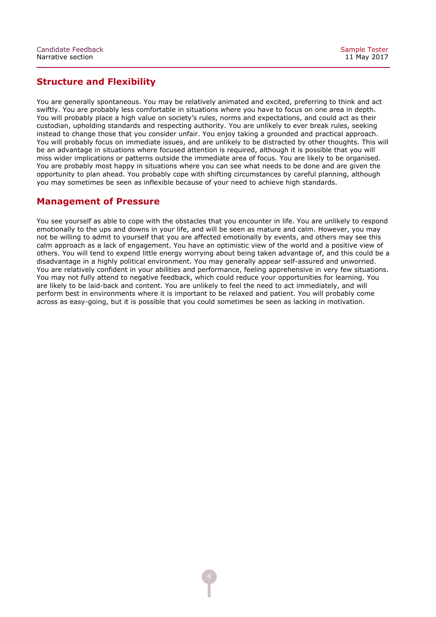#### **Structure and Flexibility**

You are generally spontaneous. You may be relatively animated and excited, preferring to think and act swiftly. You are probably less comfortable in situations where you have to focus on one area in depth. You will probably place a high value on society's rules, norms and expectations, and could act as their custodian, upholding standards and respecting authority. You are unlikely to ever break rules, seeking instead to change those that you consider unfair. You enjoy taking a grounded and practical approach. You will probably focus on immediate issues, and are unlikely to be distracted by other thoughts. This will be an advantage in situations where focused attention is required, although it is possible that you will miss wider implications or patterns outside the immediate area of focus. You are likely to be organised. You are probably most happy in situations where you can see what needs to be done and are given the opportunity to plan ahead. You probably cope with shifting circumstances by careful planning, although you may sometimes be seen as inflexible because of your need to achieve high standards.

#### **Management of Pressure**

You see yourself as able to cope with the obstacles that you encounter in life. You are unlikely to respond emotionally to the ups and downs in your life, and will be seen as mature and calm. However, you may not be willing to admit to yourself that you are affected emotionally by events, and others may see this calm approach as a lack of engagement. You have an optimistic view of the world and a positive view of others. You will tend to expend little energy worrying about being taken advantage of, and this could be a disadvantage in a highly political environment. You may generally appear self-assured and unworried. You are relatively confident in your abilities and performance, feeling apprehensive in very few situations. You may not fully attend to negative feedback, which could reduce your opportunities for learning. You are likely to be laid-back and content. You are unlikely to feel the need to act immediately, and will perform best in environments where it is important to be relaxed and patient. You will probably come across as easy-going, but it is possible that you could sometimes be seen as lacking in motivation.